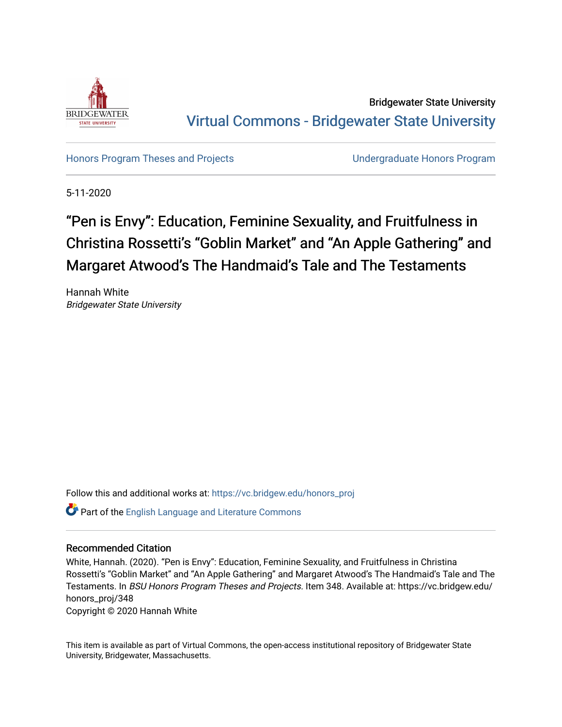

Bridgewater State University [Virtual Commons - Bridgewater State University](https://vc.bridgew.edu/) 

[Honors Program Theses and Projects](https://vc.bridgew.edu/honors_proj) [Undergraduate Honors Program](https://vc.bridgew.edu/honors) 

5-11-2020

# "Pen is Envy": Education, Feminine Sexuality, and Fruitfulness in Christina Rossetti's "Goblin Market" and "An Apple Gathering" and Margaret Atwood's The Handmaid's Tale and The Testaments

Hannah White Bridgewater State University

Follow this and additional works at: [https://vc.bridgew.edu/honors\\_proj](https://vc.bridgew.edu/honors_proj?utm_source=vc.bridgew.edu%2Fhonors_proj%2F348&utm_medium=PDF&utm_campaign=PDFCoverPages)

**Part of the [English Language and Literature Commons](http://network.bepress.com/hgg/discipline/455?utm_source=vc.bridgew.edu%2Fhonors_proj%2F348&utm_medium=PDF&utm_campaign=PDFCoverPages)** 

#### Recommended Citation

White, Hannah. (2020). "Pen is Envy": Education, Feminine Sexuality, and Fruitfulness in Christina Rossetti's "Goblin Market" and "An Apple Gathering" and Margaret Atwood's The Handmaid's Tale and The Testaments. In BSU Honors Program Theses and Projects. Item 348. Available at: https://vc.bridgew.edu/ honors\_proj/348

Copyright © 2020 Hannah White

This item is available as part of Virtual Commons, the open-access institutional repository of Bridgewater State University, Bridgewater, Massachusetts.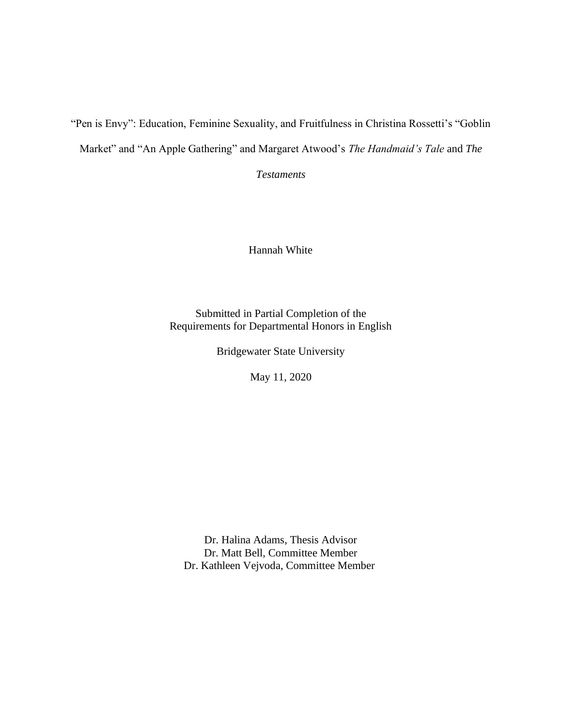"Pen is Envy": Education, Feminine Sexuality, and Fruitfulness in Christina Rossetti's "Goblin Market" and "An Apple Gathering" and Margaret Atwood's *The Handmaid's Tale* and *The* 

*Testaments*

Hannah White

Submitted in Partial Completion of the Requirements for Departmental Honors in English

Bridgewater State University

May 11, 2020

Dr. Halina Adams, Thesis Advisor Dr. Matt Bell, Committee Member Dr. Kathleen Vejvoda, Committee Member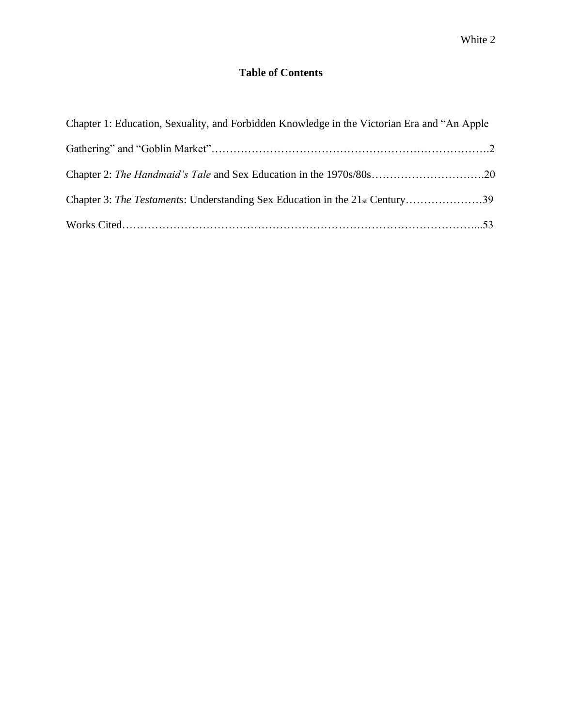### **Table of Contents**

| Chapter 1: Education, Sexuality, and Forbidden Knowledge in the Victorian Era and "An Apple" |  |
|----------------------------------------------------------------------------------------------|--|
|                                                                                              |  |
|                                                                                              |  |
| Chapter 3: The Testaments: Understanding Sex Education in the 21st Century39                 |  |
|                                                                                              |  |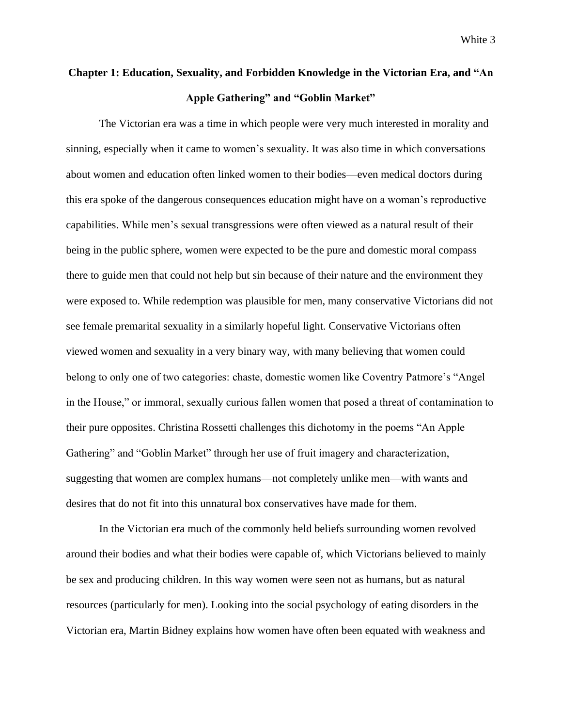## **Chapter 1: Education, Sexuality, and Forbidden Knowledge in the Victorian Era, and "An Apple Gathering" and "Goblin Market"**

The Victorian era was a time in which people were very much interested in morality and sinning, especially when it came to women's sexuality. It was also time in which conversations about women and education often linked women to their bodies—even medical doctors during this era spoke of the dangerous consequences education might have on a woman's reproductive capabilities. While men's sexual transgressions were often viewed as a natural result of their being in the public sphere, women were expected to be the pure and domestic moral compass there to guide men that could not help but sin because of their nature and the environment they were exposed to. While redemption was plausible for men, many conservative Victorians did not see female premarital sexuality in a similarly hopeful light. Conservative Victorians often viewed women and sexuality in a very binary way, with many believing that women could belong to only one of two categories: chaste, domestic women like Coventry Patmore's "Angel in the House," or immoral, sexually curious fallen women that posed a threat of contamination to their pure opposites. Christina Rossetti challenges this dichotomy in the poems "An Apple Gathering" and "Goblin Market" through her use of fruit imagery and characterization, suggesting that women are complex humans—not completely unlike men—with wants and desires that do not fit into this unnatural box conservatives have made for them.

In the Victorian era much of the commonly held beliefs surrounding women revolved around their bodies and what their bodies were capable of, which Victorians believed to mainly be sex and producing children. In this way women were seen not as humans, but as natural resources (particularly for men). Looking into the social psychology of eating disorders in the Victorian era, Martin Bidney explains how women have often been equated with weakness and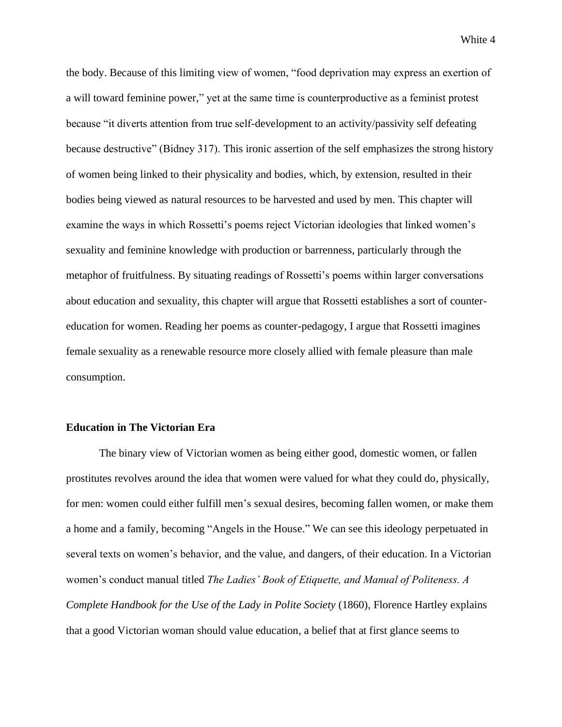the body. Because of this limiting view of women, "food deprivation may express an exertion of a will toward feminine power," yet at the same time is counterproductive as a feminist protest because "it diverts attention from true self-development to an activity/passivity self defeating because destructive" (Bidney 317). This ironic assertion of the self emphasizes the strong history of women being linked to their physicality and bodies, which, by extension, resulted in their bodies being viewed as natural resources to be harvested and used by men. This chapter will examine the ways in which Rossetti's poems reject Victorian ideologies that linked women's sexuality and feminine knowledge with production or barrenness, particularly through the metaphor of fruitfulness. By situating readings of Rossetti's poems within larger conversations about education and sexuality, this chapter will argue that Rossetti establishes a sort of countereducation for women. Reading her poems as counter-pedagogy, I argue that Rossetti imagines female sexuality as a renewable resource more closely allied with female pleasure than male consumption.

#### **Education in The Victorian Era**

The binary view of Victorian women as being either good, domestic women, or fallen prostitutes revolves around the idea that women were valued for what they could do, physically, for men: women could either fulfill men's sexual desires, becoming fallen women, or make them a home and a family, becoming "Angels in the House." We can see this ideology perpetuated in several texts on women's behavior, and the value, and dangers, of their education. In a Victorian women's conduct manual titled *The Ladies' Book of Etiquette, and Manual of Politeness. A Complete Handbook for the Use of the Lady in Polite Society* (1860), Florence Hartley explains that a good Victorian woman should value education, a belief that at first glance seems to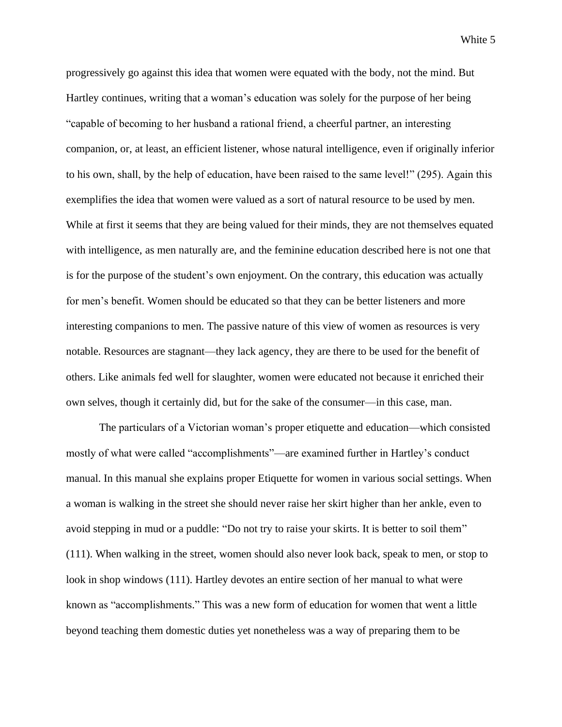progressively go against this idea that women were equated with the body, not the mind. But Hartley continues, writing that a woman's education was solely for the purpose of her being "capable of becoming to her husband a rational friend, a cheerful partner, an interesting companion, or, at least, an efficient listener, whose natural intelligence, even if originally inferior to his own, shall, by the help of education, have been raised to the same level!" (295). Again this exemplifies the idea that women were valued as a sort of natural resource to be used by men. While at first it seems that they are being valued for their minds, they are not themselves equated with intelligence, as men naturally are, and the feminine education described here is not one that is for the purpose of the student's own enjoyment. On the contrary, this education was actually for men's benefit. Women should be educated so that they can be better listeners and more interesting companions to men. The passive nature of this view of women as resources is very notable. Resources are stagnant—they lack agency, they are there to be used for the benefit of others. Like animals fed well for slaughter, women were educated not because it enriched their own selves, though it certainly did, but for the sake of the consumer—in this case, man.

The particulars of a Victorian woman's proper etiquette and education—which consisted mostly of what were called "accomplishments"—are examined further in Hartley's conduct manual. In this manual she explains proper Etiquette for women in various social settings. When a woman is walking in the street she should never raise her skirt higher than her ankle, even to avoid stepping in mud or a puddle: "Do not try to raise your skirts. It is better to soil them" (111). When walking in the street, women should also never look back, speak to men, or stop to look in shop windows (111). Hartley devotes an entire section of her manual to what were known as "accomplishments." This was a new form of education for women that went a little beyond teaching them domestic duties yet nonetheless was a way of preparing them to be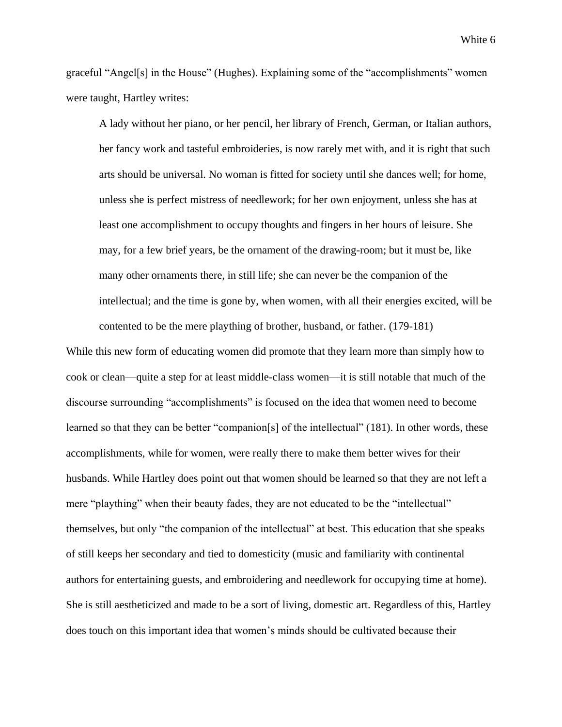graceful "Angel[s] in the House" (Hughes). Explaining some of the "accomplishments" women were taught, Hartley writes:

A lady without her piano, or her pencil, her library of French, German, or Italian authors, her fancy work and tasteful embroideries, is now rarely met with, and it is right that such arts should be universal. No woman is fitted for society until she dances well; for home, unless she is perfect mistress of needlework; for her own enjoyment, unless she has at least one accomplishment to occupy thoughts and fingers in her hours of leisure. She may, for a few brief years, be the ornament of the drawing-room; but it must be, like many other ornaments there, in still life; she can never be the companion of the intellectual; and the time is gone by, when women, with all their energies excited, will be contented to be the mere plaything of brother, husband, or father. (179-181)

While this new form of educating women did promote that they learn more than simply how to cook or clean—quite a step for at least middle-class women—it is still notable that much of the discourse surrounding "accomplishments" is focused on the idea that women need to become learned so that they can be better "companion[s] of the intellectual" (181). In other words, these accomplishments, while for women, were really there to make them better wives for their husbands. While Hartley does point out that women should be learned so that they are not left a mere "plaything" when their beauty fades, they are not educated to be the "intellectual" themselves, but only "the companion of the intellectual" at best. This education that she speaks of still keeps her secondary and tied to domesticity (music and familiarity with continental authors for entertaining guests, and embroidering and needlework for occupying time at home). She is still aestheticized and made to be a sort of living, domestic art. Regardless of this, Hartley does touch on this important idea that women's minds should be cultivated because their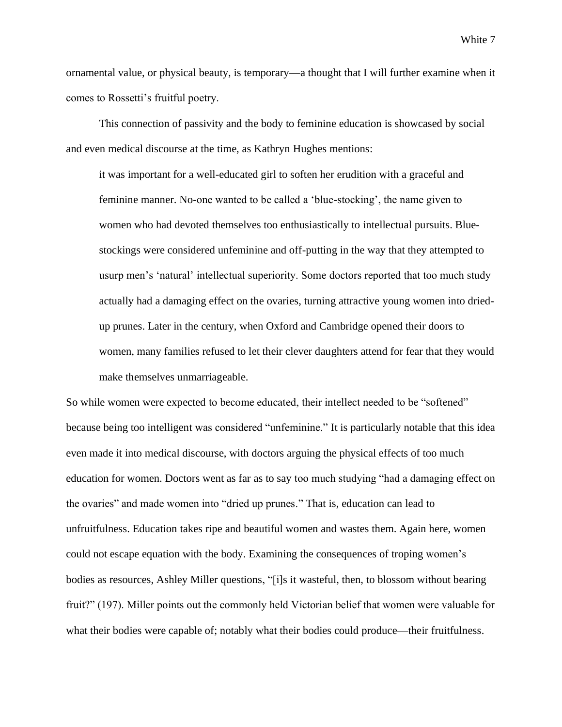ornamental value, or physical beauty, is temporary—a thought that I will further examine when it comes to Rossetti's fruitful poetry.

This connection of passivity and the body to feminine education is showcased by social and even medical discourse at the time, as Kathryn Hughes mentions:

it was important for a well-educated girl to soften her erudition with a graceful and feminine manner. No-one wanted to be called a 'blue-stocking', the name given to women who had devoted themselves too enthusiastically to intellectual pursuits. Bluestockings were considered unfeminine and off-putting in the way that they attempted to usurp men's 'natural' intellectual superiority. Some doctors reported that too much study actually had a damaging effect on the ovaries, turning attractive young women into driedup prunes. Later in the century, when Oxford and Cambridge opened their doors to women, many families refused to let their clever daughters attend for fear that they would make themselves unmarriageable.

So while women were expected to become educated, their intellect needed to be "softened" because being too intelligent was considered "unfeminine." It is particularly notable that this idea even made it into medical discourse, with doctors arguing the physical effects of too much education for women. Doctors went as far as to say too much studying "had a damaging effect on the ovaries" and made women into "dried up prunes." That is, education can lead to unfruitfulness. Education takes ripe and beautiful women and wastes them. Again here, women could not escape equation with the body. Examining the consequences of troping women's bodies as resources, Ashley Miller questions, "[i]s it wasteful, then, to blossom without bearing fruit?" (197). Miller points out the commonly held Victorian belief that women were valuable for what their bodies were capable of; notably what their bodies could produce—their fruitfulness.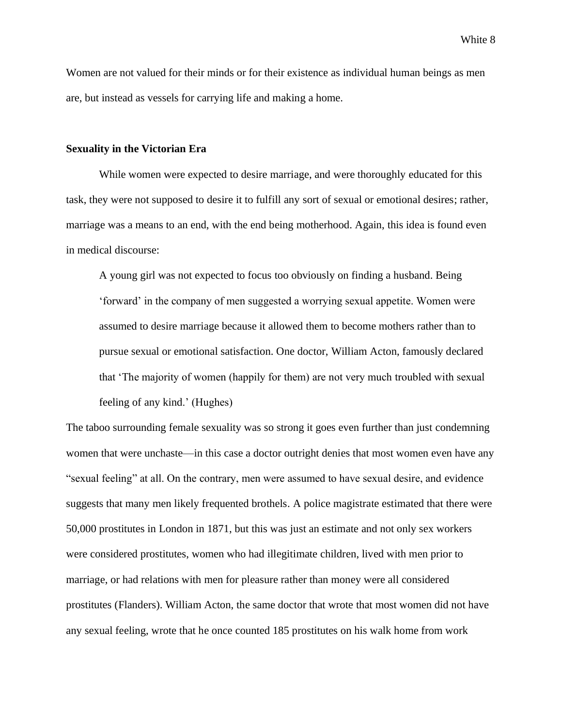Women are not valued for their minds or for their existence as individual human beings as men are, but instead as vessels for carrying life and making a home.

#### **Sexuality in the Victorian Era**

While women were expected to desire marriage, and were thoroughly educated for this task, they were not supposed to desire it to fulfill any sort of sexual or emotional desires; rather, marriage was a means to an end, with the end being motherhood. Again, this idea is found even in medical discourse:

A young girl was not expected to focus too obviously on finding a husband. Being 'forward' in the company of men suggested a worrying sexual appetite. Women were assumed to desire marriage because it allowed them to become mothers rather than to pursue sexual or emotional satisfaction. One doctor, William Acton, famously declared that 'The majority of women (happily for them) are not very much troubled with sexual feeling of any kind.' (Hughes)

The taboo surrounding female sexuality was so strong it goes even further than just condemning women that were unchaste—in this case a doctor outright denies that most women even have any "sexual feeling" at all. On the contrary, men were assumed to have sexual desire, and evidence suggests that many men likely frequented brothels. A police magistrate estimated that there were 50,000 prostitutes in London in 1871, but this was just an estimate and not only sex workers were considered prostitutes, women who had illegitimate children, lived with men prior to marriage, or had relations with men for pleasure rather than money were all considered prostitutes (Flanders). William Acton, the same doctor that wrote that most women did not have any sexual feeling, wrote that he once counted 185 prostitutes on his walk home from work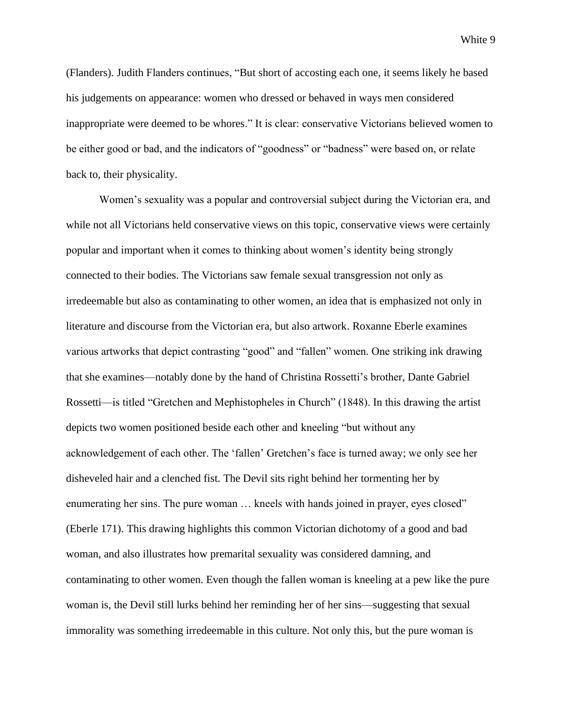(Flanders). Judith Flanders continues, "But short of accosting each one, it seems likely he based his judgements on appearance: women who dressed or behaved in ways men considered inappropriate were deemed to be whores." It is clear: conservative Victorians believed women to be either good or bad, and the indicators of "goodness" or "badness" were based on, or relate back to, their physicality.

Women's sexuality was a popular and controversial subject during the Victorian era, and while not all Victorians held conservative views on this topic, conservative views were certainly popular and important when it comes to thinking about women's identity being strongly connected to their bodies. The Victorians saw female sexual transgression not only as irredeemable but also as contaminating to other women, an idea that is emphasized not only in literature and discourse from the Victorian era, but also artwork. Roxanne Eberle examines various artworks that depict contrasting "good" and "fallen" women. One striking ink drawing that she examines—notably done by the hand of Christina Rossetti's brother, Dante Gabriel Rossetti—is titled "Gretchen and Mephistopheles in Church" (1848). In this drawing the artist depicts two women positioned beside each other and kneeling "but without any acknowledgement of each other. The 'fallen' Gretchen's face is turned away; we only see her disheveled hair and a clenched fist. The Devil sits right behind her tormenting her by enumerating her sins. The pure woman … kneels with hands joined in prayer, eyes closed" (Eberle 171). This drawing highlights this common Victorian dichotomy of a good and bad woman, and also illustrates how premarital sexuality was considered damning, and contaminating to other women. Even though the fallen woman is kneeling at a pew like the pure woman is, the Devil still lurks behind her reminding her of her sins—suggesting that sexual immorality was something irredeemable in this culture. Not only this, but the pure woman is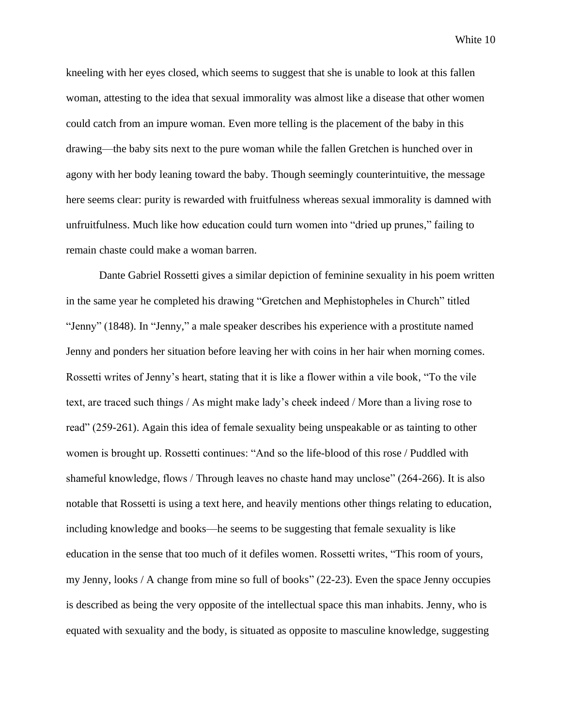kneeling with her eyes closed, which seems to suggest that she is unable to look at this fallen woman, attesting to the idea that sexual immorality was almost like a disease that other women could catch from an impure woman. Even more telling is the placement of the baby in this drawing—the baby sits next to the pure woman while the fallen Gretchen is hunched over in agony with her body leaning toward the baby. Though seemingly counterintuitive, the message here seems clear: purity is rewarded with fruitfulness whereas sexual immorality is damned with unfruitfulness. Much like how education could turn women into "dried up prunes," failing to remain chaste could make a woman barren.

Dante Gabriel Rossetti gives a similar depiction of feminine sexuality in his poem written in the same year he completed his drawing "Gretchen and Mephistopheles in Church" titled "Jenny" (1848). In "Jenny," a male speaker describes his experience with a prostitute named Jenny and ponders her situation before leaving her with coins in her hair when morning comes. Rossetti writes of Jenny's heart, stating that it is like a flower within a vile book, "To the vile text, are traced such things / As might make lady's cheek indeed / More than a living rose to read" (259-261). Again this idea of female sexuality being unspeakable or as tainting to other women is brought up. Rossetti continues: "And so the life-blood of this rose / Puddled with shameful knowledge, flows / Through leaves no chaste hand may unclose" (264-266). It is also notable that Rossetti is using a text here, and heavily mentions other things relating to education, including knowledge and books—he seems to be suggesting that female sexuality is like education in the sense that too much of it defiles women. Rossetti writes, "This room of yours, my Jenny, looks / A change from mine so full of books" (22-23). Even the space Jenny occupies is described as being the very opposite of the intellectual space this man inhabits. Jenny, who is equated with sexuality and the body, is situated as opposite to masculine knowledge, suggesting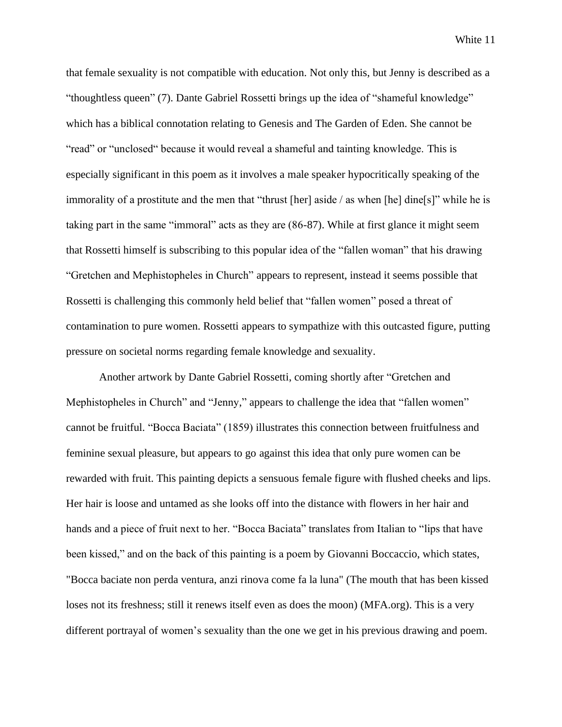that female sexuality is not compatible with education. Not only this, but Jenny is described as a "thoughtless queen" (7). Dante Gabriel Rossetti brings up the idea of "shameful knowledge" which has a biblical connotation relating to Genesis and The Garden of Eden. She cannot be "read" or "unclosed" because it would reveal a shameful and tainting knowledge. This is especially significant in this poem as it involves a male speaker hypocritically speaking of the immorality of a prostitute and the men that "thrust [her] aside / as when [he] dine[s]" while he is taking part in the same "immoral" acts as they are (86-87). While at first glance it might seem that Rossetti himself is subscribing to this popular idea of the "fallen woman" that his drawing "Gretchen and Mephistopheles in Church" appears to represent, instead it seems possible that Rossetti is challenging this commonly held belief that "fallen women" posed a threat of contamination to pure women. Rossetti appears to sympathize with this outcasted figure, putting pressure on societal norms regarding female knowledge and sexuality.

Another artwork by Dante Gabriel Rossetti, coming shortly after "Gretchen and Mephistopheles in Church" and "Jenny," appears to challenge the idea that "fallen women" cannot be fruitful. "Bocca Baciata" (1859) illustrates this connection between fruitfulness and feminine sexual pleasure, but appears to go against this idea that only pure women can be rewarded with fruit. This painting depicts a sensuous female figure with flushed cheeks and lips. Her hair is loose and untamed as she looks off into the distance with flowers in her hair and hands and a piece of fruit next to her. "Bocca Baciata" translates from Italian to "lips that have been kissed," and on the back of this painting is a poem by Giovanni Boccaccio, which states, "Bocca baciate non perda ventura, anzi rinova come fa la luna" (The mouth that has been kissed loses not its freshness; still it renews itself even as does the moon) (MFA.org). This is a very different portrayal of women's sexuality than the one we get in his previous drawing and poem.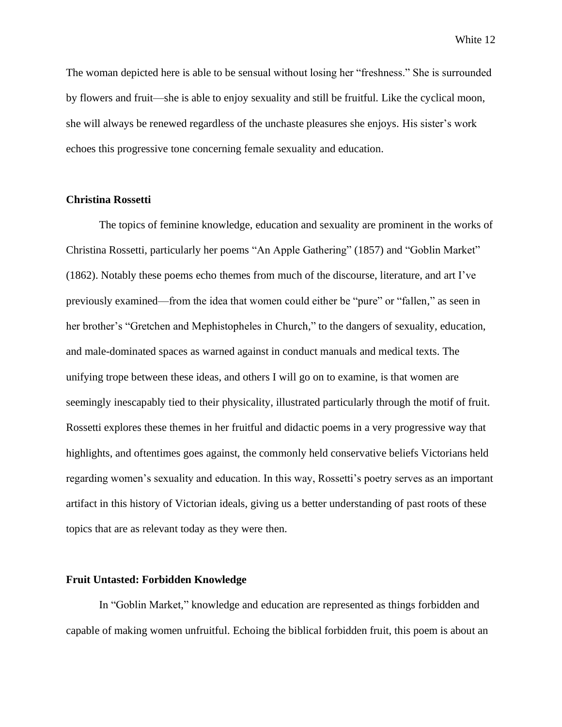The woman depicted here is able to be sensual without losing her "freshness." She is surrounded by flowers and fruit—she is able to enjoy sexuality and still be fruitful. Like the cyclical moon, she will always be renewed regardless of the unchaste pleasures she enjoys. His sister's work echoes this progressive tone concerning female sexuality and education.

#### **Christina Rossetti**

The topics of feminine knowledge, education and sexuality are prominent in the works of Christina Rossetti, particularly her poems "An Apple Gathering" (1857) and "Goblin Market" (1862). Notably these poems echo themes from much of the discourse, literature, and art I've previously examined—from the idea that women could either be "pure" or "fallen," as seen in her brother's "Gretchen and Mephistopheles in Church," to the dangers of sexuality, education, and male-dominated spaces as warned against in conduct manuals and medical texts. The unifying trope between these ideas, and others I will go on to examine, is that women are seemingly inescapably tied to their physicality, illustrated particularly through the motif of fruit. Rossetti explores these themes in her fruitful and didactic poems in a very progressive way that highlights, and oftentimes goes against, the commonly held conservative beliefs Victorians held regarding women's sexuality and education. In this way, Rossetti's poetry serves as an important artifact in this history of Victorian ideals, giving us a better understanding of past roots of these topics that are as relevant today as they were then.

#### **Fruit Untasted: Forbidden Knowledge**

In "Goblin Market," knowledge and education are represented as things forbidden and capable of making women unfruitful. Echoing the biblical forbidden fruit, this poem is about an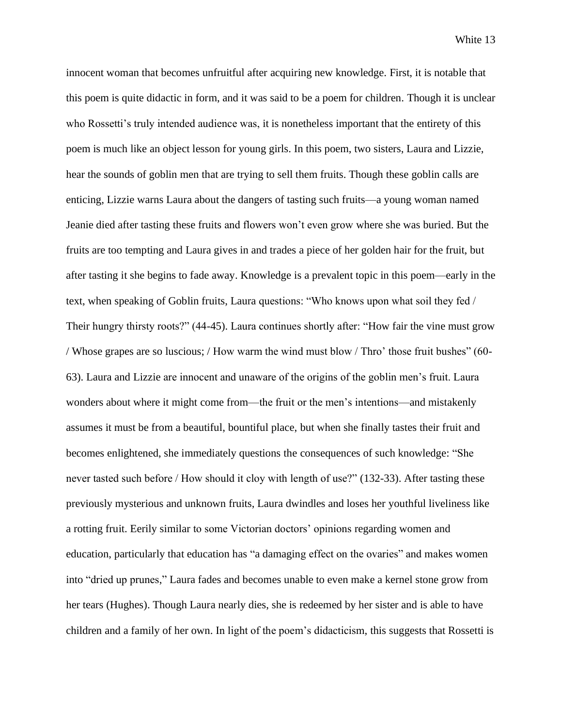innocent woman that becomes unfruitful after acquiring new knowledge. First, it is notable that this poem is quite didactic in form, and it was said to be a poem for children. Though it is unclear who Rossetti's truly intended audience was, it is nonetheless important that the entirety of this poem is much like an object lesson for young girls. In this poem, two sisters, Laura and Lizzie, hear the sounds of goblin men that are trying to sell them fruits. Though these goblin calls are enticing, Lizzie warns Laura about the dangers of tasting such fruits—a young woman named Jeanie died after tasting these fruits and flowers won't even grow where she was buried. But the fruits are too tempting and Laura gives in and trades a piece of her golden hair for the fruit, but after tasting it she begins to fade away. Knowledge is a prevalent topic in this poem—early in the text, when speaking of Goblin fruits, Laura questions: "Who knows upon what soil they fed / Their hungry thirsty roots?" (44-45). Laura continues shortly after: "How fair the vine must grow / Whose grapes are so luscious; / How warm the wind must blow / Thro' those fruit bushes" (60- 63). Laura and Lizzie are innocent and unaware of the origins of the goblin men's fruit. Laura wonders about where it might come from—the fruit or the men's intentions—and mistakenly assumes it must be from a beautiful, bountiful place, but when she finally tastes their fruit and becomes enlightened, she immediately questions the consequences of such knowledge: "She never tasted such before / How should it cloy with length of use?" (132-33). After tasting these previously mysterious and unknown fruits, Laura dwindles and loses her youthful liveliness like a rotting fruit. Eerily similar to some Victorian doctors' opinions regarding women and education, particularly that education has "a damaging effect on the ovaries" and makes women into "dried up prunes," Laura fades and becomes unable to even make a kernel stone grow from her tears (Hughes). Though Laura nearly dies, she is redeemed by her sister and is able to have children and a family of her own. In light of the poem's didacticism, this suggests that Rossetti is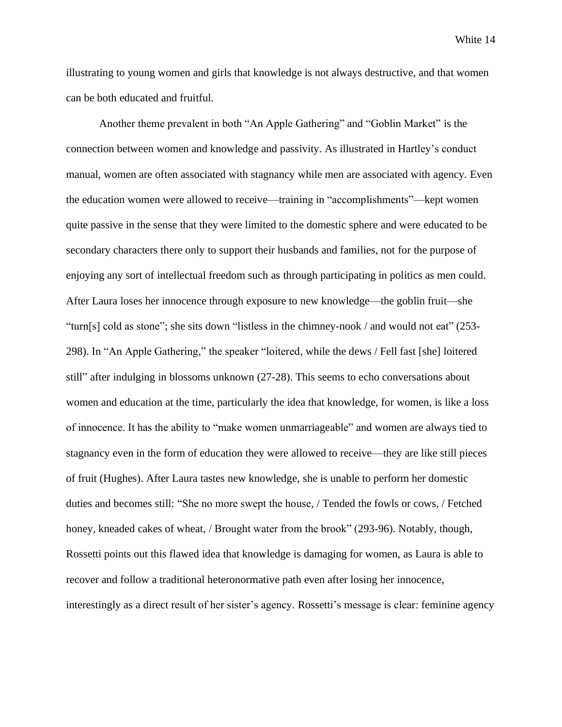illustrating to young women and girls that knowledge is not always destructive, and that women can be both educated and fruitful.

Another theme prevalent in both "An Apple Gathering" and "Goblin Market" is the connection between women and knowledge and passivity. As illustrated in Hartley's conduct manual, women are often associated with stagnancy while men are associated with agency. Even the education women were allowed to receive—training in "accomplishments"—kept women quite passive in the sense that they were limited to the domestic sphere and were educated to be secondary characters there only to support their husbands and families, not for the purpose of enjoying any sort of intellectual freedom such as through participating in politics as men could. After Laura loses her innocence through exposure to new knowledge—the goblin fruit—she "turn[s] cold as stone"; she sits down "listless in the chimney-nook / and would not eat" (253- 298). In "An Apple Gathering," the speaker "loitered, while the dews / Fell fast [she] loitered still" after indulging in blossoms unknown (27-28). This seems to echo conversations about women and education at the time, particularly the idea that knowledge, for women, is like a loss of innocence. It has the ability to "make women unmarriageable" and women are always tied to stagnancy even in the form of education they were allowed to receive—they are like still pieces of fruit (Hughes). After Laura tastes new knowledge, she is unable to perform her domestic duties and becomes still: "She no more swept the house, / Tended the fowls or cows, / Fetched honey, kneaded cakes of wheat, / Brought water from the brook" (293-96). Notably, though, Rossetti points out this flawed idea that knowledge is damaging for women, as Laura is able to recover and follow a traditional heteronormative path even after losing her innocence, interestingly as a direct result of her sister's agency. Rossetti's message is clear: feminine agency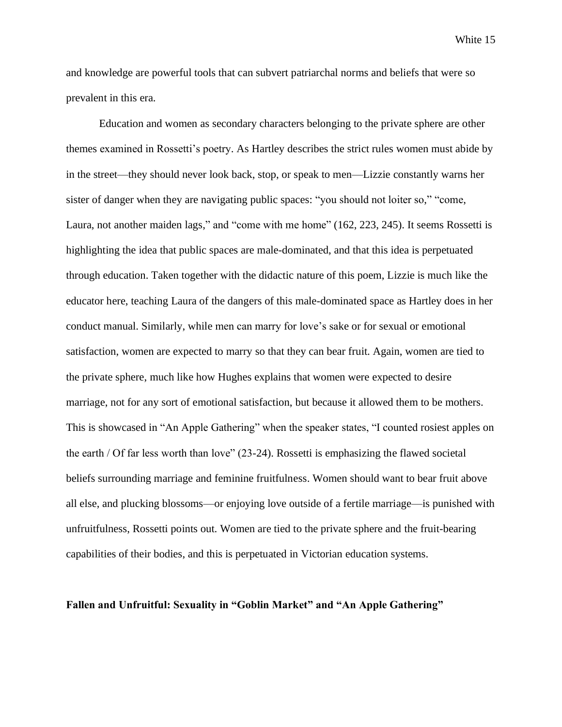and knowledge are powerful tools that can subvert patriarchal norms and beliefs that were so prevalent in this era.

Education and women as secondary characters belonging to the private sphere are other themes examined in Rossetti's poetry. As Hartley describes the strict rules women must abide by in the street—they should never look back, stop, or speak to men—Lizzie constantly warns her sister of danger when they are navigating public spaces: "you should not loiter so," "come, Laura, not another maiden lags," and "come with me home" (162, 223, 245). It seems Rossetti is highlighting the idea that public spaces are male-dominated, and that this idea is perpetuated through education. Taken together with the didactic nature of this poem, Lizzie is much like the educator here, teaching Laura of the dangers of this male-dominated space as Hartley does in her conduct manual. Similarly, while men can marry for love's sake or for sexual or emotional satisfaction, women are expected to marry so that they can bear fruit. Again, women are tied to the private sphere, much like how Hughes explains that women were expected to desire marriage, not for any sort of emotional satisfaction, but because it allowed them to be mothers. This is showcased in "An Apple Gathering" when the speaker states, "I counted rosiest apples on the earth / Of far less worth than love" (23-24). Rossetti is emphasizing the flawed societal beliefs surrounding marriage and feminine fruitfulness. Women should want to bear fruit above all else, and plucking blossoms—or enjoying love outside of a fertile marriage—is punished with unfruitfulness, Rossetti points out. Women are tied to the private sphere and the fruit-bearing capabilities of their bodies, and this is perpetuated in Victorian education systems.

#### **Fallen and Unfruitful: Sexuality in "Goblin Market" and "An Apple Gathering"**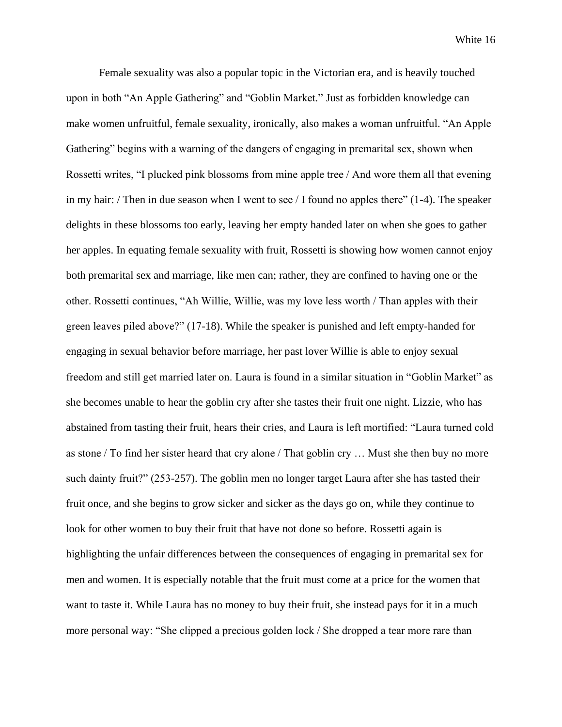Female sexuality was also a popular topic in the Victorian era, and is heavily touched upon in both "An Apple Gathering" and "Goblin Market." Just as forbidden knowledge can make women unfruitful, female sexuality, ironically, also makes a woman unfruitful. "An Apple Gathering" begins with a warning of the dangers of engaging in premarital sex, shown when Rossetti writes, "I plucked pink blossoms from mine apple tree / And wore them all that evening in my hair: / Then in due season when I went to see / I found no apples there"  $(1-4)$ . The speaker delights in these blossoms too early, leaving her empty handed later on when she goes to gather her apples. In equating female sexuality with fruit, Rossetti is showing how women cannot enjoy both premarital sex and marriage, like men can; rather, they are confined to having one or the other. Rossetti continues, "Ah Willie, Willie, was my love less worth / Than apples with their green leaves piled above?" (17-18). While the speaker is punished and left empty-handed for engaging in sexual behavior before marriage, her past lover Willie is able to enjoy sexual freedom and still get married later on. Laura is found in a similar situation in "Goblin Market" as she becomes unable to hear the goblin cry after she tastes their fruit one night. Lizzie, who has abstained from tasting their fruit, hears their cries, and Laura is left mortified: "Laura turned cold as stone / To find her sister heard that cry alone / That goblin cry … Must she then buy no more such dainty fruit?" (253-257). The goblin men no longer target Laura after she has tasted their fruit once, and she begins to grow sicker and sicker as the days go on, while they continue to look for other women to buy their fruit that have not done so before. Rossetti again is highlighting the unfair differences between the consequences of engaging in premarital sex for men and women. It is especially notable that the fruit must come at a price for the women that want to taste it. While Laura has no money to buy their fruit, she instead pays for it in a much more personal way: "She clipped a precious golden lock / She dropped a tear more rare than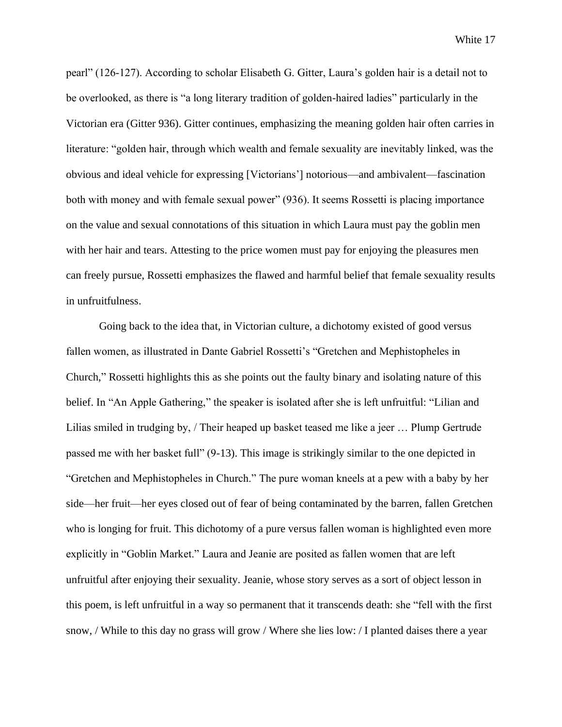pearl" (126-127). According to scholar Elisabeth G. Gitter, Laura's golden hair is a detail not to be overlooked, as there is "a long literary tradition of golden-haired ladies" particularly in the Victorian era (Gitter 936). Gitter continues, emphasizing the meaning golden hair often carries in literature: "golden hair, through which wealth and female sexuality are inevitably linked, was the obvious and ideal vehicle for expressing [Victorians'] notorious—and ambivalent—fascination both with money and with female sexual power" (936). It seems Rossetti is placing importance on the value and sexual connotations of this situation in which Laura must pay the goblin men with her hair and tears. Attesting to the price women must pay for enjoying the pleasures men can freely pursue, Rossetti emphasizes the flawed and harmful belief that female sexuality results in unfruitfulness.

Going back to the idea that, in Victorian culture, a dichotomy existed of good versus fallen women, as illustrated in Dante Gabriel Rossetti's "Gretchen and Mephistopheles in Church," Rossetti highlights this as she points out the faulty binary and isolating nature of this belief. In "An Apple Gathering," the speaker is isolated after she is left unfruitful: "Lilian and Lilias smiled in trudging by, / Their heaped up basket teased me like a jeer … Plump Gertrude passed me with her basket full" (9-13). This image is strikingly similar to the one depicted in "Gretchen and Mephistopheles in Church." The pure woman kneels at a pew with a baby by her side—her fruit—her eyes closed out of fear of being contaminated by the barren, fallen Gretchen who is longing for fruit. This dichotomy of a pure versus fallen woman is highlighted even more explicitly in "Goblin Market." Laura and Jeanie are posited as fallen women that are left unfruitful after enjoying their sexuality. Jeanie, whose story serves as a sort of object lesson in this poem, is left unfruitful in a way so permanent that it transcends death: she "fell with the first snow, / While to this day no grass will grow / Where she lies low: / I planted daises there a year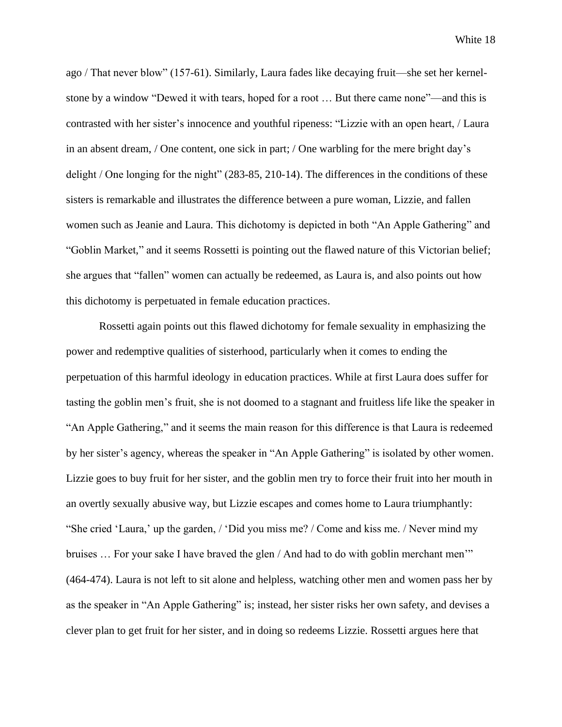ago / That never blow" (157-61). Similarly, Laura fades like decaying fruit—she set her kernelstone by a window "Dewed it with tears, hoped for a root … But there came none"—and this is contrasted with her sister's innocence and youthful ripeness: "Lizzie with an open heart, / Laura in an absent dream, / One content, one sick in part; / One warbling for the mere bright day's delight / One longing for the night" (283-85, 210-14). The differences in the conditions of these sisters is remarkable and illustrates the difference between a pure woman, Lizzie, and fallen women such as Jeanie and Laura. This dichotomy is depicted in both "An Apple Gathering" and "Goblin Market," and it seems Rossetti is pointing out the flawed nature of this Victorian belief; she argues that "fallen" women can actually be redeemed, as Laura is, and also points out how this dichotomy is perpetuated in female education practices.

Rossetti again points out this flawed dichotomy for female sexuality in emphasizing the power and redemptive qualities of sisterhood, particularly when it comes to ending the perpetuation of this harmful ideology in education practices. While at first Laura does suffer for tasting the goblin men's fruit, she is not doomed to a stagnant and fruitless life like the speaker in "An Apple Gathering," and it seems the main reason for this difference is that Laura is redeemed by her sister's agency, whereas the speaker in "An Apple Gathering" is isolated by other women. Lizzie goes to buy fruit for her sister, and the goblin men try to force their fruit into her mouth in an overtly sexually abusive way, but Lizzie escapes and comes home to Laura triumphantly: "She cried 'Laura,' up the garden, / 'Did you miss me? / Come and kiss me. / Never mind my bruises ... For your sake I have braved the glen / And had to do with goblin merchant men'" (464-474). Laura is not left to sit alone and helpless, watching other men and women pass her by as the speaker in "An Apple Gathering" is; instead, her sister risks her own safety, and devises a clever plan to get fruit for her sister, and in doing so redeems Lizzie. Rossetti argues here that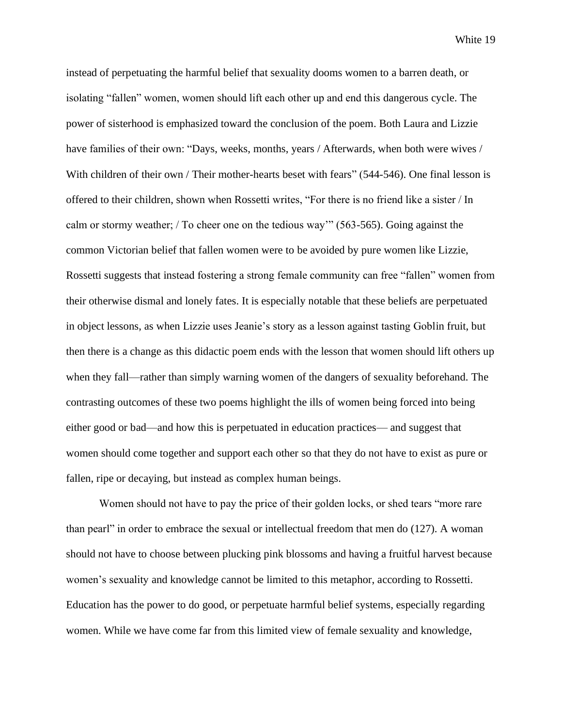instead of perpetuating the harmful belief that sexuality dooms women to a barren death, or isolating "fallen" women, women should lift each other up and end this dangerous cycle. The power of sisterhood is emphasized toward the conclusion of the poem. Both Laura and Lizzie have families of their own: "Days, weeks, months, years / Afterwards, when both were wives / With children of their own / Their mother-hearts beset with fears" (544-546). One final lesson is offered to their children, shown when Rossetti writes, "For there is no friend like a sister / In calm or stormy weather; / To cheer one on the tedious way'" (563-565). Going against the common Victorian belief that fallen women were to be avoided by pure women like Lizzie, Rossetti suggests that instead fostering a strong female community can free "fallen" women from their otherwise dismal and lonely fates. It is especially notable that these beliefs are perpetuated in object lessons, as when Lizzie uses Jeanie's story as a lesson against tasting Goblin fruit, but then there is a change as this didactic poem ends with the lesson that women should lift others up when they fall—rather than simply warning women of the dangers of sexuality beforehand. The contrasting outcomes of these two poems highlight the ills of women being forced into being either good or bad—and how this is perpetuated in education practices— and suggest that women should come together and support each other so that they do not have to exist as pure or fallen, ripe or decaying, but instead as complex human beings.

Women should not have to pay the price of their golden locks, or shed tears "more rare than pearl" in order to embrace the sexual or intellectual freedom that men do (127). A woman should not have to choose between plucking pink blossoms and having a fruitful harvest because women's sexuality and knowledge cannot be limited to this metaphor, according to Rossetti. Education has the power to do good, or perpetuate harmful belief systems, especially regarding women. While we have come far from this limited view of female sexuality and knowledge,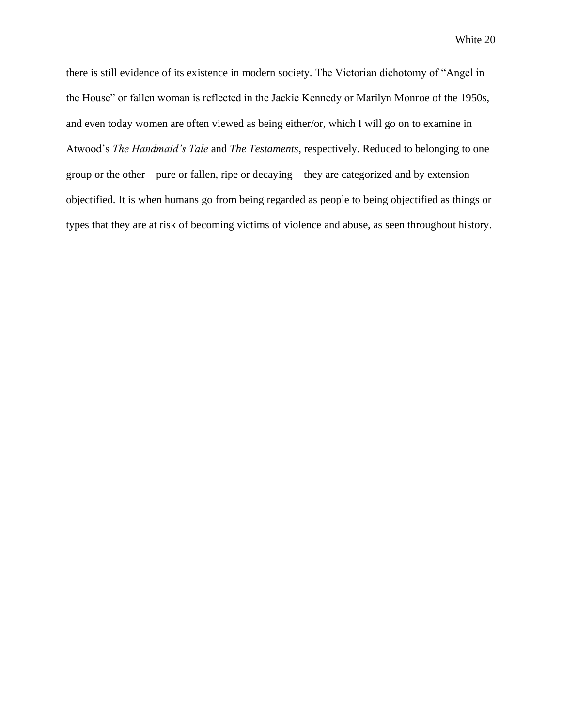there is still evidence of its existence in modern society. The Victorian dichotomy of "Angel in the House" or fallen woman is reflected in the Jackie Kennedy or Marilyn Monroe of the 1950s, and even today women are often viewed as being either/or, which I will go on to examine in Atwood's *The Handmaid's Tale* and *The Testaments*, respectively. Reduced to belonging to one group or the other—pure or fallen, ripe or decaying—they are categorized and by extension objectified. It is when humans go from being regarded as people to being objectified as things or types that they are at risk of becoming victims of violence and abuse, as seen throughout history.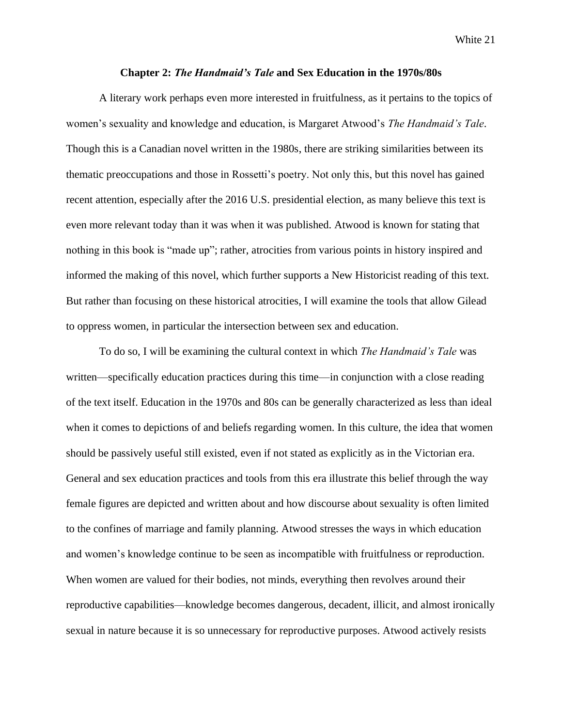#### **Chapter 2:** *The Handmaid's Tale* **and Sex Education in the 1970s/80s**

A literary work perhaps even more interested in fruitfulness, as it pertains to the topics of women's sexuality and knowledge and education, is Margaret Atwood's *The Handmaid's Tale*. Though this is a Canadian novel written in the 1980s, there are striking similarities between its thematic preoccupations and those in Rossetti's poetry. Not only this, but this novel has gained recent attention, especially after the 2016 U.S. presidential election, as many believe this text is even more relevant today than it was when it was published. Atwood is known for stating that nothing in this book is "made up"; rather, atrocities from various points in history inspired and informed the making of this novel, which further supports a New Historicist reading of this text. But rather than focusing on these historical atrocities, I will examine the tools that allow Gilead to oppress women, in particular the intersection between sex and education.

To do so, I will be examining the cultural context in which *The Handmaid's Tale* was written—specifically education practices during this time—in conjunction with a close reading of the text itself. Education in the 1970s and 80s can be generally characterized as less than ideal when it comes to depictions of and beliefs regarding women. In this culture, the idea that women should be passively useful still existed, even if not stated as explicitly as in the Victorian era. General and sex education practices and tools from this era illustrate this belief through the way female figures are depicted and written about and how discourse about sexuality is often limited to the confines of marriage and family planning. Atwood stresses the ways in which education and women's knowledge continue to be seen as incompatible with fruitfulness or reproduction. When women are valued for their bodies, not minds, everything then revolves around their reproductive capabilities—knowledge becomes dangerous, decadent, illicit, and almost ironically sexual in nature because it is so unnecessary for reproductive purposes. Atwood actively resists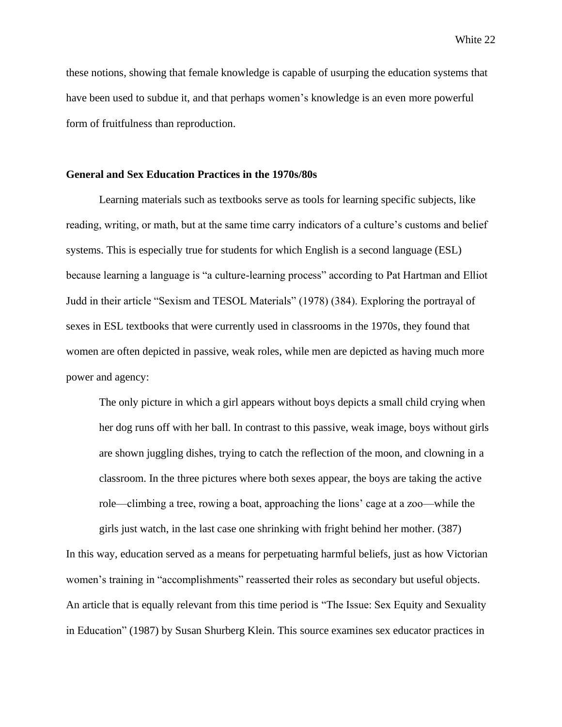these notions, showing that female knowledge is capable of usurping the education systems that have been used to subdue it, and that perhaps women's knowledge is an even more powerful form of fruitfulness than reproduction.

#### **General and Sex Education Practices in the 1970s/80s**

Learning materials such as textbooks serve as tools for learning specific subjects, like reading, writing, or math, but at the same time carry indicators of a culture's customs and belief systems. This is especially true for students for which English is a second language (ESL) because learning a language is "a culture-learning process" according to Pat Hartman and Elliot Judd in their article "Sexism and TESOL Materials" (1978) (384). Exploring the portrayal of sexes in ESL textbooks that were currently used in classrooms in the 1970s, they found that women are often depicted in passive, weak roles, while men are depicted as having much more power and agency:

The only picture in which a girl appears without boys depicts a small child crying when her dog runs off with her ball. In contrast to this passive, weak image, boys without girls are shown juggling dishes, trying to catch the reflection of the moon, and clowning in a classroom. In the three pictures where both sexes appear, the boys are taking the active role—climbing a tree, rowing a boat, approaching the lions' cage at a zoo—while the

girls just watch, in the last case one shrinking with fright behind her mother. (387) In this way, education served as a means for perpetuating harmful beliefs, just as how Victorian women's training in "accomplishments" reasserted their roles as secondary but useful objects. An article that is equally relevant from this time period is "The Issue: Sex Equity and Sexuality in Education" (1987) by Susan Shurberg Klein. This source examines sex educator practices in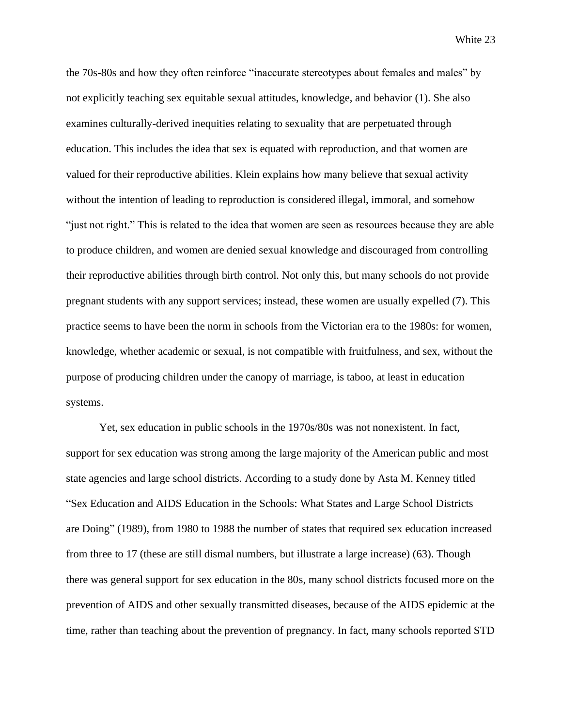the 70s-80s and how they often reinforce "inaccurate stereotypes about females and males" by not explicitly teaching sex equitable sexual attitudes, knowledge, and behavior (1). She also examines culturally-derived inequities relating to sexuality that are perpetuated through education. This includes the idea that sex is equated with reproduction, and that women are valued for their reproductive abilities. Klein explains how many believe that sexual activity without the intention of leading to reproduction is considered illegal, immoral, and somehow "just not right." This is related to the idea that women are seen as resources because they are able to produce children, and women are denied sexual knowledge and discouraged from controlling their reproductive abilities through birth control. Not only this, but many schools do not provide pregnant students with any support services; instead, these women are usually expelled (7). This practice seems to have been the norm in schools from the Victorian era to the 1980s: for women, knowledge, whether academic or sexual, is not compatible with fruitfulness, and sex, without the purpose of producing children under the canopy of marriage, is taboo, at least in education systems.

Yet, sex education in public schools in the 1970s/80s was not nonexistent. In fact, support for sex education was strong among the large majority of the American public and most state agencies and large school districts. According to a study done by Asta M. Kenney titled "Sex Education and AIDS Education in the Schools: What States and Large School Districts are Doing" (1989), from 1980 to 1988 the number of states that required sex education increased from three to 17 (these are still dismal numbers, but illustrate a large increase) (63). Though there was general support for sex education in the 80s, many school districts focused more on the prevention of AIDS and other sexually transmitted diseases, because of the AIDS epidemic at the time, rather than teaching about the prevention of pregnancy. In fact, many schools reported STD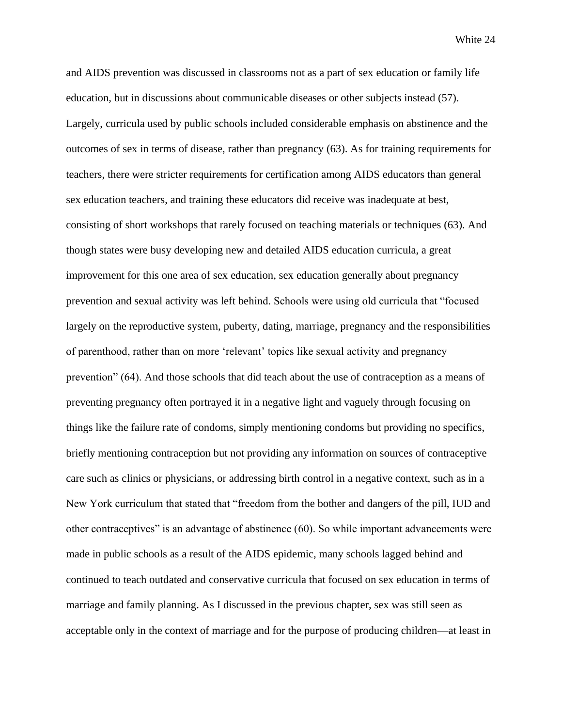and AIDS prevention was discussed in classrooms not as a part of sex education or family life education, but in discussions about communicable diseases or other subjects instead (57). Largely, curricula used by public schools included considerable emphasis on abstinence and the outcomes of sex in terms of disease, rather than pregnancy (63). As for training requirements for teachers, there were stricter requirements for certification among AIDS educators than general sex education teachers, and training these educators did receive was inadequate at best, consisting of short workshops that rarely focused on teaching materials or techniques (63). And though states were busy developing new and detailed AIDS education curricula, a great improvement for this one area of sex education, sex education generally about pregnancy prevention and sexual activity was left behind. Schools were using old curricula that "focused largely on the reproductive system, puberty, dating, marriage, pregnancy and the responsibilities of parenthood, rather than on more 'relevant' topics like sexual activity and pregnancy prevention" (64). And those schools that did teach about the use of contraception as a means of preventing pregnancy often portrayed it in a negative light and vaguely through focusing on things like the failure rate of condoms, simply mentioning condoms but providing no specifics, briefly mentioning contraception but not providing any information on sources of contraceptive care such as clinics or physicians, or addressing birth control in a negative context, such as in a New York curriculum that stated that "freedom from the bother and dangers of the pill, IUD and other contraceptives" is an advantage of abstinence (60). So while important advancements were made in public schools as a result of the AIDS epidemic, many schools lagged behind and continued to teach outdated and conservative curricula that focused on sex education in terms of marriage and family planning. As I discussed in the previous chapter, sex was still seen as acceptable only in the context of marriage and for the purpose of producing children—at least in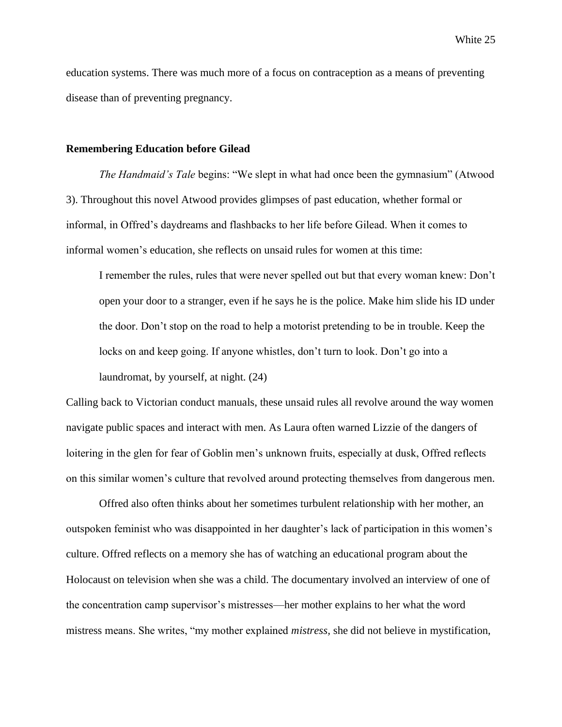education systems. There was much more of a focus on contraception as a means of preventing disease than of preventing pregnancy.

#### **Remembering Education before Gilead**

*The Handmaid's Tale* begins: "We slept in what had once been the gymnasium" (Atwood 3). Throughout this novel Atwood provides glimpses of past education, whether formal or informal, in Offred's daydreams and flashbacks to her life before Gilead. When it comes to informal women's education, she reflects on unsaid rules for women at this time:

I remember the rules, rules that were never spelled out but that every woman knew: Don't open your door to a stranger, even if he says he is the police. Make him slide his ID under the door. Don't stop on the road to help a motorist pretending to be in trouble. Keep the locks on and keep going. If anyone whistles, don't turn to look. Don't go into a laundromat, by yourself, at night. (24)

Calling back to Victorian conduct manuals, these unsaid rules all revolve around the way women navigate public spaces and interact with men. As Laura often warned Lizzie of the dangers of loitering in the glen for fear of Goblin men's unknown fruits, especially at dusk, Offred reflects on this similar women's culture that revolved around protecting themselves from dangerous men.

Offred also often thinks about her sometimes turbulent relationship with her mother, an outspoken feminist who was disappointed in her daughter's lack of participation in this women's culture. Offred reflects on a memory she has of watching an educational program about the Holocaust on television when she was a child. The documentary involved an interview of one of the concentration camp supervisor's mistresses—her mother explains to her what the word mistress means. She writes, "my mother explained *mistress,* she did not believe in mystification,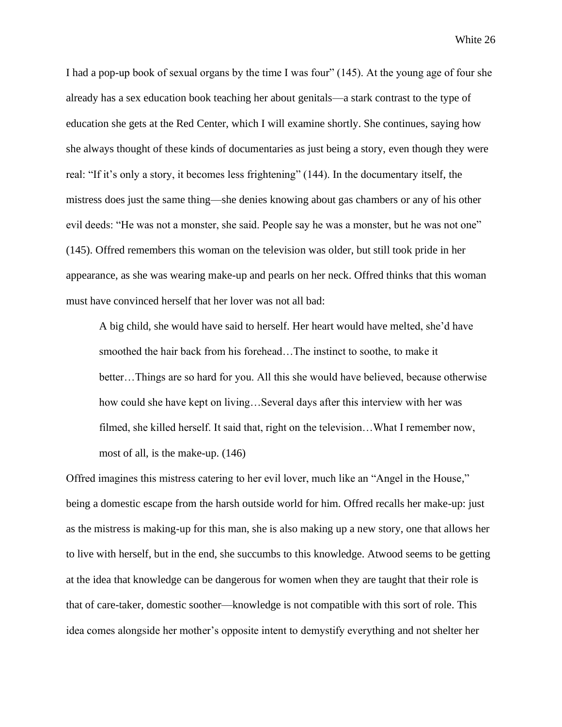I had a pop-up book of sexual organs by the time I was four" (145). At the young age of four she already has a sex education book teaching her about genitals—a stark contrast to the type of education she gets at the Red Center, which I will examine shortly. She continues, saying how she always thought of these kinds of documentaries as just being a story, even though they were real: "If it's only a story, it becomes less frightening" (144). In the documentary itself, the mistress does just the same thing—she denies knowing about gas chambers or any of his other evil deeds: "He was not a monster, she said. People say he was a monster, but he was not one" (145). Offred remembers this woman on the television was older, but still took pride in her appearance, as she was wearing make-up and pearls on her neck. Offred thinks that this woman must have convinced herself that her lover was not all bad:

A big child, she would have said to herself. Her heart would have melted, she'd have smoothed the hair back from his forehead…The instinct to soothe, to make it better…Things are so hard for you. All this she would have believed, because otherwise how could she have kept on living…Several days after this interview with her was filmed, she killed herself. It said that, right on the television…What I remember now, most of all, is the make-up. (146)

Offred imagines this mistress catering to her evil lover, much like an "Angel in the House," being a domestic escape from the harsh outside world for him. Offred recalls her make-up: just as the mistress is making-up for this man, she is also making up a new story, one that allows her to live with herself, but in the end, she succumbs to this knowledge. Atwood seems to be getting at the idea that knowledge can be dangerous for women when they are taught that their role is that of care-taker, domestic soother—knowledge is not compatible with this sort of role. This idea comes alongside her mother's opposite intent to demystify everything and not shelter her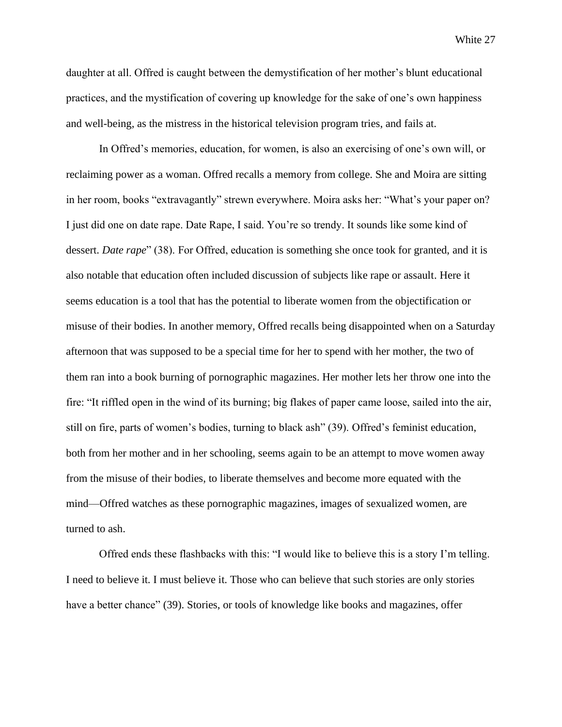daughter at all. Offred is caught between the demystification of her mother's blunt educational practices, and the mystification of covering up knowledge for the sake of one's own happiness and well-being, as the mistress in the historical television program tries, and fails at.

In Offred's memories, education, for women, is also an exercising of one's own will, or reclaiming power as a woman. Offred recalls a memory from college. She and Moira are sitting in her room, books "extravagantly" strewn everywhere. Moira asks her: "What's your paper on? I just did one on date rape. Date Rape, I said. You're so trendy. It sounds like some kind of dessert. *Date rape*" (38). For Offred, education is something she once took for granted, and it is also notable that education often included discussion of subjects like rape or assault. Here it seems education is a tool that has the potential to liberate women from the objectification or misuse of their bodies. In another memory, Offred recalls being disappointed when on a Saturday afternoon that was supposed to be a special time for her to spend with her mother, the two of them ran into a book burning of pornographic magazines. Her mother lets her throw one into the fire: "It riffled open in the wind of its burning; big flakes of paper came loose, sailed into the air, still on fire, parts of women's bodies, turning to black ash" (39). Offred's feminist education, both from her mother and in her schooling, seems again to be an attempt to move women away from the misuse of their bodies, to liberate themselves and become more equated with the mind—Offred watches as these pornographic magazines, images of sexualized women, are turned to ash.

Offred ends these flashbacks with this: "I would like to believe this is a story I'm telling. I need to believe it. I must believe it. Those who can believe that such stories are only stories have a better chance" (39). Stories, or tools of knowledge like books and magazines, offer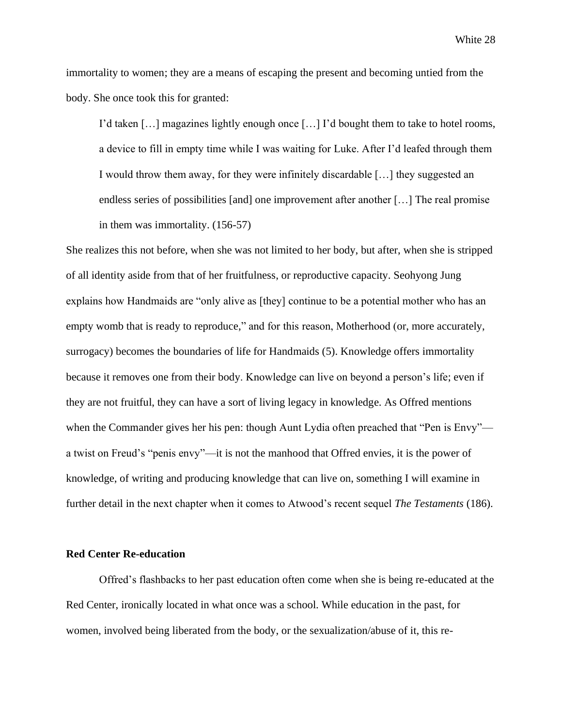immortality to women; they are a means of escaping the present and becoming untied from the body. She once took this for granted:

I'd taken […] magazines lightly enough once […] I'd bought them to take to hotel rooms, a device to fill in empty time while I was waiting for Luke. After I'd leafed through them I would throw them away, for they were infinitely discardable […] they suggested an endless series of possibilities [and] one improvement after another […] The real promise in them was immortality. (156-57)

She realizes this not before, when she was not limited to her body, but after, when she is stripped of all identity aside from that of her fruitfulness, or reproductive capacity. Seohyong Jung explains how Handmaids are "only alive as [they] continue to be a potential mother who has an empty womb that is ready to reproduce," and for this reason, Motherhood (or, more accurately, surrogacy) becomes the boundaries of life for Handmaids (5). Knowledge offers immortality because it removes one from their body. Knowledge can live on beyond a person's life; even if they are not fruitful, they can have a sort of living legacy in knowledge. As Offred mentions when the Commander gives her his pen: though Aunt Lydia often preached that "Pen is Envy" a twist on Freud's "penis envy"—it is not the manhood that Offred envies, it is the power of knowledge, of writing and producing knowledge that can live on, something I will examine in further detail in the next chapter when it comes to Atwood's recent sequel *The Testaments* (186).

#### **Red Center Re-education**

Offred's flashbacks to her past education often come when she is being re-educated at the Red Center, ironically located in what once was a school. While education in the past, for women, involved being liberated from the body, or the sexualization/abuse of it, this re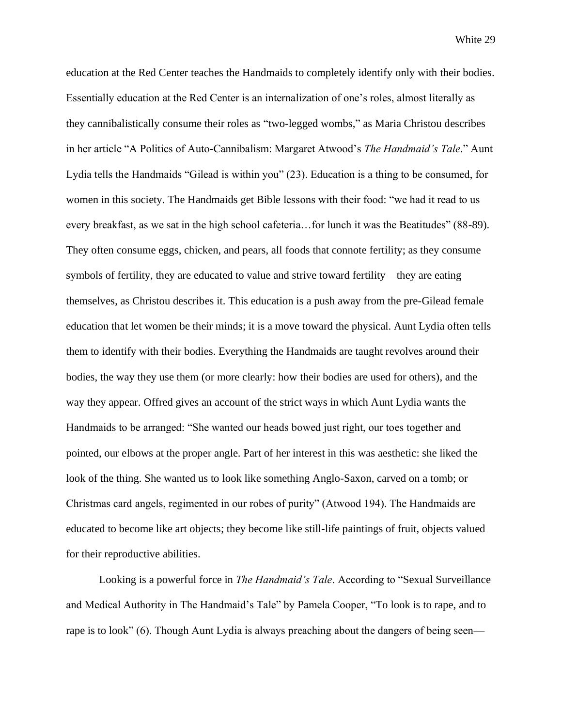education at the Red Center teaches the Handmaids to completely identify only with their bodies. Essentially education at the Red Center is an internalization of one's roles, almost literally as they cannibalistically consume their roles as "two-legged wombs," as Maria Christou describes in her article "A Politics of Auto-Cannibalism: Margaret Atwood's *The Handmaid's Tale.*" Aunt Lydia tells the Handmaids "Gilead is within you" (23). Education is a thing to be consumed, for women in this society. The Handmaids get Bible lessons with their food: "we had it read to us every breakfast, as we sat in the high school cafeteria…for lunch it was the Beatitudes" (88-89). They often consume eggs, chicken, and pears, all foods that connote fertility; as they consume symbols of fertility, they are educated to value and strive toward fertility—they are eating themselves, as Christou describes it. This education is a push away from the pre-Gilead female education that let women be their minds; it is a move toward the physical. Aunt Lydia often tells them to identify with their bodies. Everything the Handmaids are taught revolves around their bodies, the way they use them (or more clearly: how their bodies are used for others), and the way they appear. Offred gives an account of the strict ways in which Aunt Lydia wants the Handmaids to be arranged: "She wanted our heads bowed just right, our toes together and pointed, our elbows at the proper angle. Part of her interest in this was aesthetic: she liked the look of the thing. She wanted us to look like something Anglo-Saxon, carved on a tomb; or Christmas card angels, regimented in our robes of purity" (Atwood 194). The Handmaids are educated to become like art objects; they become like still-life paintings of fruit, objects valued for their reproductive abilities.

Looking is a powerful force in *The Handmaid's Tale*. According to "Sexual Surveillance and Medical Authority in The Handmaid's Tale" by Pamela Cooper, "To look is to rape, and to rape is to look" (6). Though Aunt Lydia is always preaching about the dangers of being seen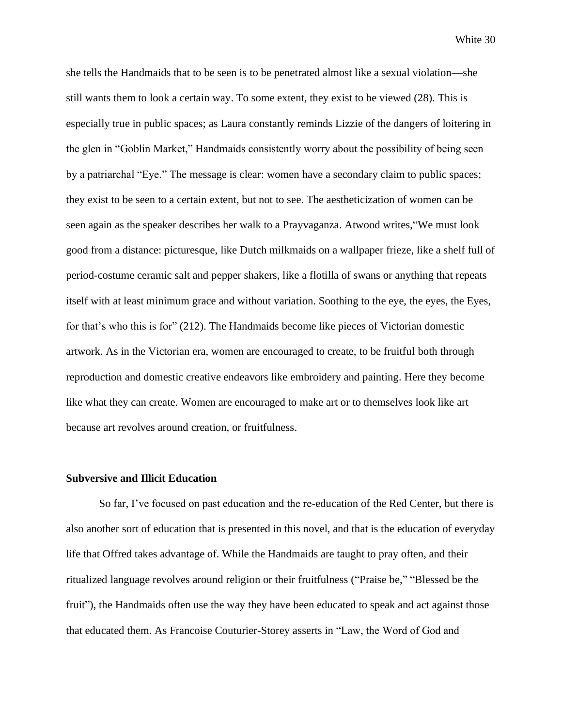she tells the Handmaids that to be seen is to be penetrated almost like a sexual violation—she still wants them to look a certain way. To some extent, they exist to be viewed (28). This is especially true in public spaces; as Laura constantly reminds Lizzie of the dangers of loitering in the glen in "Goblin Market," Handmaids consistently worry about the possibility of being seen by a patriarchal "Eye." The message is clear: women have a secondary claim to public spaces; they exist to be seen to a certain extent, but not to see. The aestheticization of women can be seen again as the speaker describes her walk to a Prayvaganza. Atwood writes,"We must look good from a distance: picturesque, like Dutch milkmaids on a wallpaper frieze, like a shelf full of period-costume ceramic salt and pepper shakers, like a flotilla of swans or anything that repeats itself with at least minimum grace and without variation. Soothing to the eye, the eyes, the Eyes, for that's who this is for" (212). The Handmaids become like pieces of Victorian domestic artwork. As in the Victorian era, women are encouraged to create, to be fruitful both through reproduction and domestic creative endeavors like embroidery and painting. Here they become like what they can create. Women are encouraged to make art or to themselves look like art because art revolves around creation, or fruitfulness.

#### **Subversive and Illicit Education**

So far, I've focused on past education and the re-education of the Red Center, but there is also another sort of education that is presented in this novel, and that is the education of everyday life that Offred takes advantage of. While the Handmaids are taught to pray often, and their ritualized language revolves around religion or their fruitfulness ("Praise be," "Blessed be the fruit"), the Handmaids often use the way they have been educated to speak and act against those that educated them. As Francoise Couturier-Storey asserts in "Law, the Word of God and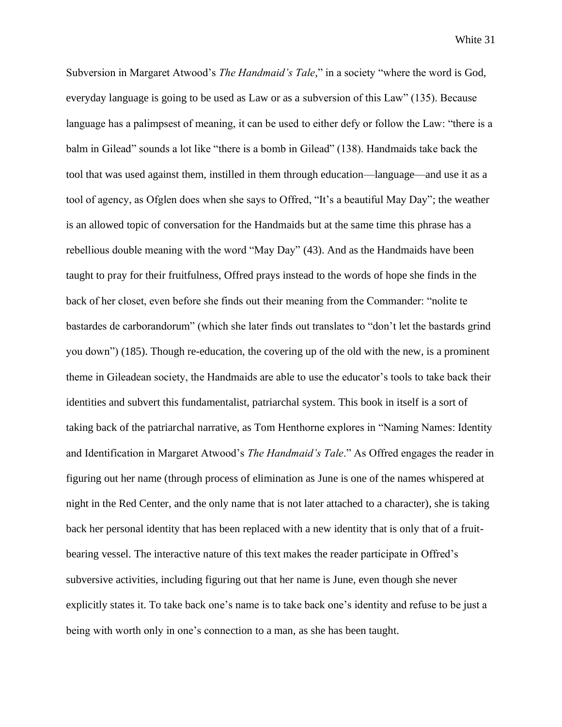Subversion in Margaret Atwood's *The Handmaid's Tale,*" in a society "where the word is God, everyday language is going to be used as Law or as a subversion of this Law" (135). Because language has a palimpsest of meaning, it can be used to either defy or follow the Law: "there is a balm in Gilead" sounds a lot like "there is a bomb in Gilead" (138). Handmaids take back the tool that was used against them, instilled in them through education—language—and use it as a tool of agency, as Ofglen does when she says to Offred, "It's a beautiful May Day"; the weather is an allowed topic of conversation for the Handmaids but at the same time this phrase has a rebellious double meaning with the word "May Day" (43). And as the Handmaids have been taught to pray for their fruitfulness, Offred prays instead to the words of hope she finds in the back of her closet, even before she finds out their meaning from the Commander: "nolite te bastardes de carborandorum" (which she later finds out translates to "don't let the bastards grind you down") (185). Though re-education, the covering up of the old with the new, is a prominent theme in Gileadean society, the Handmaids are able to use the educator's tools to take back their identities and subvert this fundamentalist, patriarchal system. This book in itself is a sort of taking back of the patriarchal narrative, as Tom Henthorne explores in "Naming Names: Identity and Identification in Margaret Atwood's *The Handmaid's Tale*." As Offred engages the reader in figuring out her name (through process of elimination as June is one of the names whispered at night in the Red Center, and the only name that is not later attached to a character), she is taking back her personal identity that has been replaced with a new identity that is only that of a fruitbearing vessel. The interactive nature of this text makes the reader participate in Offred's subversive activities, including figuring out that her name is June, even though she never explicitly states it. To take back one's name is to take back one's identity and refuse to be just a being with worth only in one's connection to a man, as she has been taught.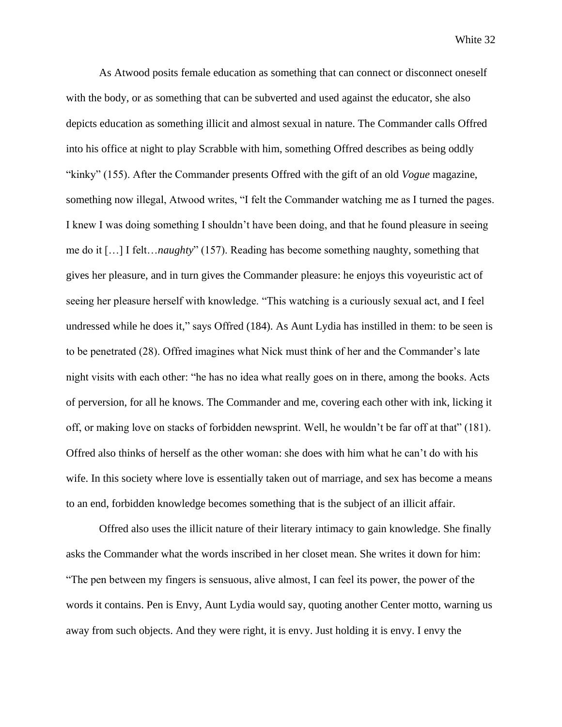As Atwood posits female education as something that can connect or disconnect oneself with the body, or as something that can be subverted and used against the educator, she also depicts education as something illicit and almost sexual in nature. The Commander calls Offred into his office at night to play Scrabble with him, something Offred describes as being oddly "kinky" (155). After the Commander presents Offred with the gift of an old *Vogue* magazine, something now illegal, Atwood writes, "I felt the Commander watching me as I turned the pages. I knew I was doing something I shouldn't have been doing, and that he found pleasure in seeing me do it […] I felt…*naughty*" (157). Reading has become something naughty, something that gives her pleasure, and in turn gives the Commander pleasure: he enjoys this voyeuristic act of seeing her pleasure herself with knowledge. "This watching is a curiously sexual act, and I feel undressed while he does it," says Offred (184). As Aunt Lydia has instilled in them: to be seen is to be penetrated (28). Offred imagines what Nick must think of her and the Commander's late night visits with each other: "he has no idea what really goes on in there, among the books. Acts of perversion, for all he knows. The Commander and me, covering each other with ink, licking it off, or making love on stacks of forbidden newsprint. Well, he wouldn't be far off at that" (181). Offred also thinks of herself as the other woman: she does with him what he can't do with his wife. In this society where love is essentially taken out of marriage, and sex has become a means to an end, forbidden knowledge becomes something that is the subject of an illicit affair.

Offred also uses the illicit nature of their literary intimacy to gain knowledge. She finally asks the Commander what the words inscribed in her closet mean. She writes it down for him: "The pen between my fingers is sensuous, alive almost, I can feel its power, the power of the words it contains. Pen is Envy, Aunt Lydia would say, quoting another Center motto, warning us away from such objects. And they were right, it is envy. Just holding it is envy. I envy the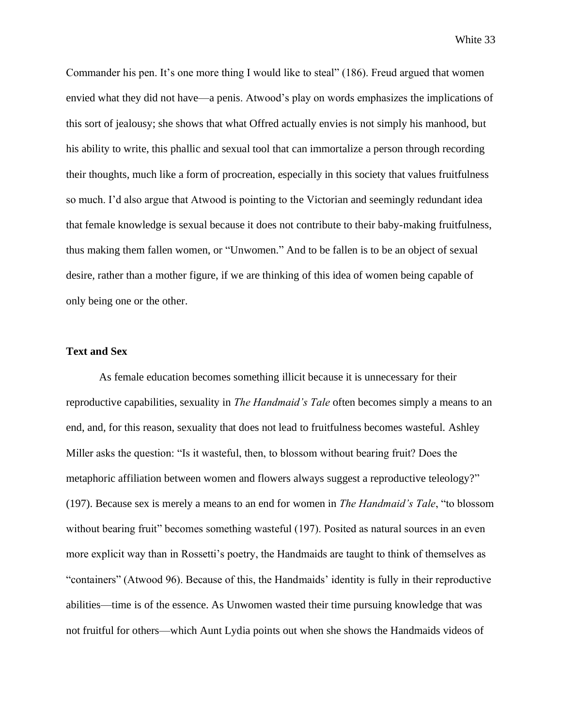Commander his pen. It's one more thing I would like to steal" (186). Freud argued that women envied what they did not have—a penis. Atwood's play on words emphasizes the implications of this sort of jealousy; she shows that what Offred actually envies is not simply his manhood, but his ability to write, this phallic and sexual tool that can immortalize a person through recording their thoughts, much like a form of procreation, especially in this society that values fruitfulness so much. I'd also argue that Atwood is pointing to the Victorian and seemingly redundant idea that female knowledge is sexual because it does not contribute to their baby-making fruitfulness, thus making them fallen women, or "Unwomen." And to be fallen is to be an object of sexual desire, rather than a mother figure, if we are thinking of this idea of women being capable of only being one or the other.

#### **Text and Sex**

As female education becomes something illicit because it is unnecessary for their reproductive capabilities, sexuality in *The Handmaid's Tale* often becomes simply a means to an end, and, for this reason, sexuality that does not lead to fruitfulness becomes wasteful. Ashley Miller asks the question: "Is it wasteful, then, to blossom without bearing fruit? Does the metaphoric affiliation between women and flowers always suggest a reproductive teleology?" (197). Because sex is merely a means to an end for women in *The Handmaid's Tale*, "to blossom without bearing fruit" becomes something wasteful (197). Posited as natural sources in an even more explicit way than in Rossetti's poetry, the Handmaids are taught to think of themselves as "containers" (Atwood 96). Because of this, the Handmaids' identity is fully in their reproductive abilities—time is of the essence. As Unwomen wasted their time pursuing knowledge that was not fruitful for others—which Aunt Lydia points out when she shows the Handmaids videos of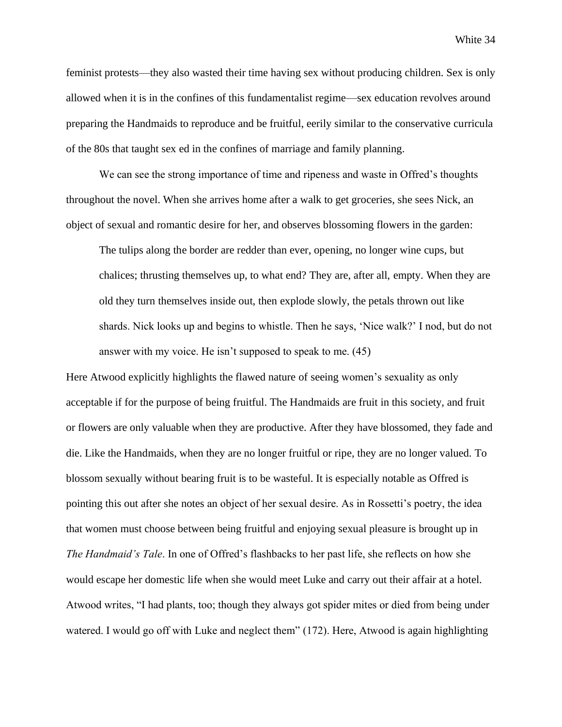feminist protests—they also wasted their time having sex without producing children. Sex is only allowed when it is in the confines of this fundamentalist regime—sex education revolves around preparing the Handmaids to reproduce and be fruitful, eerily similar to the conservative curricula of the 80s that taught sex ed in the confines of marriage and family planning.

We can see the strong importance of time and ripeness and waste in Offred's thoughts throughout the novel. When she arrives home after a walk to get groceries, she sees Nick, an object of sexual and romantic desire for her, and observes blossoming flowers in the garden:

The tulips along the border are redder than ever, opening, no longer wine cups, but chalices; thrusting themselves up, to what end? They are, after all, empty. When they are old they turn themselves inside out, then explode slowly, the petals thrown out like shards. Nick looks up and begins to whistle. Then he says, 'Nice walk?' I nod, but do not answer with my voice. He isn't supposed to speak to me. (45)

Here Atwood explicitly highlights the flawed nature of seeing women's sexuality as only acceptable if for the purpose of being fruitful. The Handmaids are fruit in this society, and fruit or flowers are only valuable when they are productive. After they have blossomed, they fade and die. Like the Handmaids, when they are no longer fruitful or ripe, they are no longer valued. To blossom sexually without bearing fruit is to be wasteful. It is especially notable as Offred is pointing this out after she notes an object of her sexual desire. As in Rossetti's poetry, the idea that women must choose between being fruitful and enjoying sexual pleasure is brought up in *The Handmaid's Tale*. In one of Offred's flashbacks to her past life, she reflects on how she would escape her domestic life when she would meet Luke and carry out their affair at a hotel. Atwood writes, "I had plants, too; though they always got spider mites or died from being under watered. I would go off with Luke and neglect them" (172). Here, Atwood is again highlighting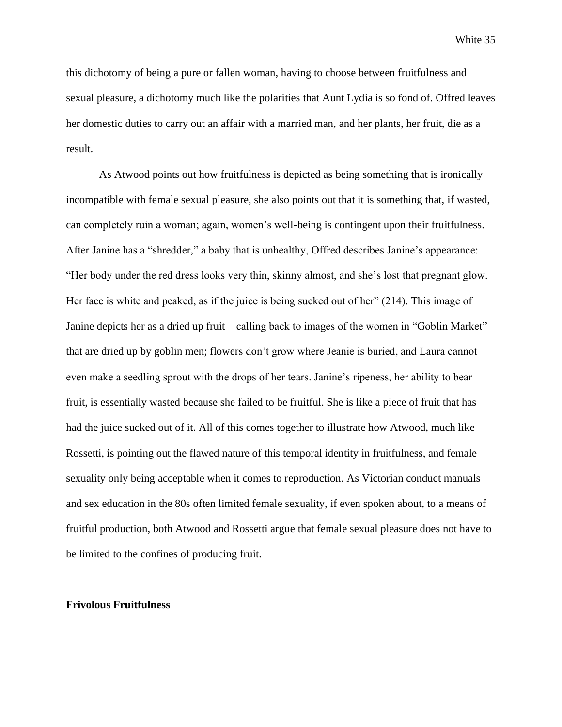this dichotomy of being a pure or fallen woman, having to choose between fruitfulness and sexual pleasure, a dichotomy much like the polarities that Aunt Lydia is so fond of. Offred leaves her domestic duties to carry out an affair with a married man, and her plants, her fruit, die as a result.

As Atwood points out how fruitfulness is depicted as being something that is ironically incompatible with female sexual pleasure, she also points out that it is something that, if wasted, can completely ruin a woman; again, women's well-being is contingent upon their fruitfulness. After Janine has a "shredder," a baby that is unhealthy, Offred describes Janine's appearance: "Her body under the red dress looks very thin, skinny almost, and she's lost that pregnant glow. Her face is white and peaked, as if the juice is being sucked out of her" (214). This image of Janine depicts her as a dried up fruit—calling back to images of the women in "Goblin Market" that are dried up by goblin men; flowers don't grow where Jeanie is buried, and Laura cannot even make a seedling sprout with the drops of her tears. Janine's ripeness, her ability to bear fruit, is essentially wasted because she failed to be fruitful. She is like a piece of fruit that has had the juice sucked out of it. All of this comes together to illustrate how Atwood, much like Rossetti, is pointing out the flawed nature of this temporal identity in fruitfulness, and female sexuality only being acceptable when it comes to reproduction. As Victorian conduct manuals and sex education in the 80s often limited female sexuality, if even spoken about, to a means of fruitful production, both Atwood and Rossetti argue that female sexual pleasure does not have to be limited to the confines of producing fruit.

#### **Frivolous Fruitfulness**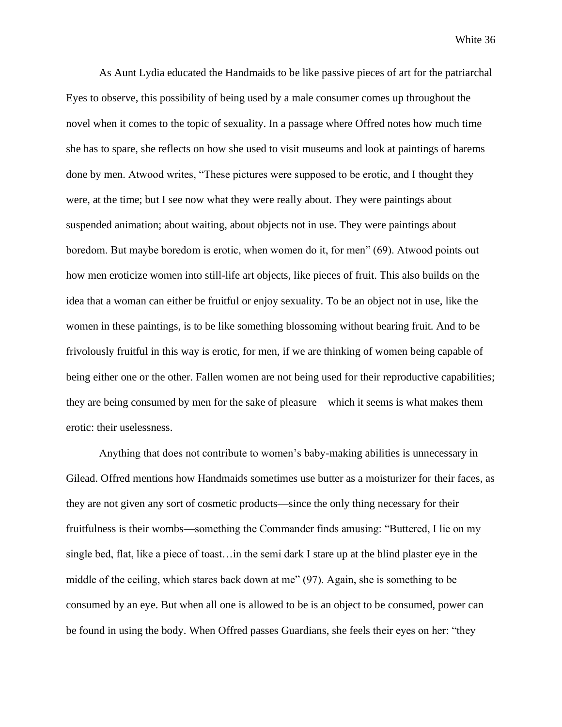As Aunt Lydia educated the Handmaids to be like passive pieces of art for the patriarchal Eyes to observe, this possibility of being used by a male consumer comes up throughout the novel when it comes to the topic of sexuality. In a passage where Offred notes how much time she has to spare, she reflects on how she used to visit museums and look at paintings of harems done by men. Atwood writes, "These pictures were supposed to be erotic, and I thought they were, at the time; but I see now what they were really about. They were paintings about suspended animation; about waiting, about objects not in use. They were paintings about boredom. But maybe boredom is erotic, when women do it, for men" (69). Atwood points out how men eroticize women into still-life art objects, like pieces of fruit. This also builds on the idea that a woman can either be fruitful or enjoy sexuality. To be an object not in use, like the women in these paintings, is to be like something blossoming without bearing fruit. And to be frivolously fruitful in this way is erotic, for men, if we are thinking of women being capable of being either one or the other. Fallen women are not being used for their reproductive capabilities; they are being consumed by men for the sake of pleasure—which it seems is what makes them erotic: their uselessness.

Anything that does not contribute to women's baby-making abilities is unnecessary in Gilead. Offred mentions how Handmaids sometimes use butter as a moisturizer for their faces, as they are not given any sort of cosmetic products—since the only thing necessary for their fruitfulness is their wombs—something the Commander finds amusing: "Buttered, I lie on my single bed, flat, like a piece of toast…in the semi dark I stare up at the blind plaster eye in the middle of the ceiling, which stares back down at me" (97). Again, she is something to be consumed by an eye. But when all one is allowed to be is an object to be consumed, power can be found in using the body. When Offred passes Guardians, she feels their eyes on her: "they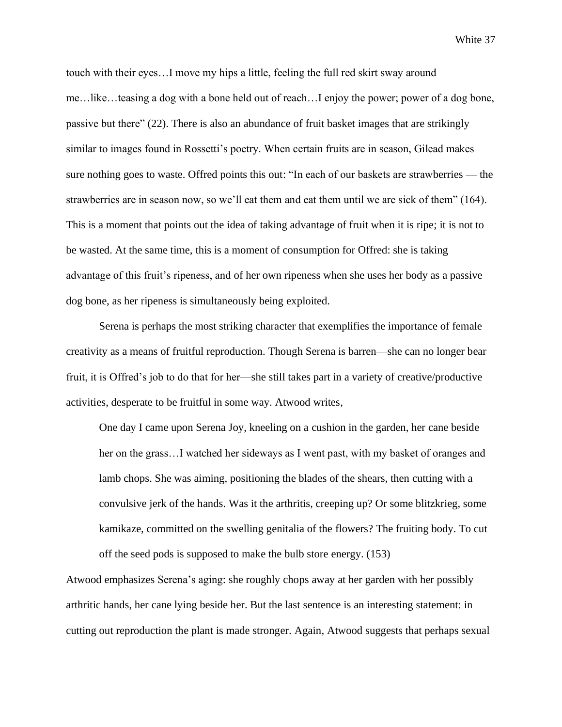touch with their eyes…I move my hips a little, feeling the full red skirt sway around me…like…teasing a dog with a bone held out of reach…I enjoy the power; power of a dog bone, passive but there" (22). There is also an abundance of fruit basket images that are strikingly similar to images found in Rossetti's poetry. When certain fruits are in season, Gilead makes sure nothing goes to waste. Offred points this out: "In each of our baskets are strawberries — the strawberries are in season now, so we'll eat them and eat them until we are sick of them" (164). This is a moment that points out the idea of taking advantage of fruit when it is ripe; it is not to be wasted. At the same time, this is a moment of consumption for Offred: she is taking advantage of this fruit's ripeness, and of her own ripeness when she uses her body as a passive dog bone, as her ripeness is simultaneously being exploited.

Serena is perhaps the most striking character that exemplifies the importance of female creativity as a means of fruitful reproduction. Though Serena is barren—she can no longer bear fruit, it is Offred's job to do that for her—she still takes part in a variety of creative/productive activities, desperate to be fruitful in some way. Atwood writes,

One day I came upon Serena Joy, kneeling on a cushion in the garden, her cane beside her on the grass…I watched her sideways as I went past, with my basket of oranges and lamb chops. She was aiming, positioning the blades of the shears, then cutting with a convulsive jerk of the hands. Was it the arthritis, creeping up? Or some blitzkrieg, some kamikaze, committed on the swelling genitalia of the flowers? The fruiting body. To cut off the seed pods is supposed to make the bulb store energy. (153)

Atwood emphasizes Serena's aging: she roughly chops away at her garden with her possibly arthritic hands, her cane lying beside her. But the last sentence is an interesting statement: in cutting out reproduction the plant is made stronger. Again, Atwood suggests that perhaps sexual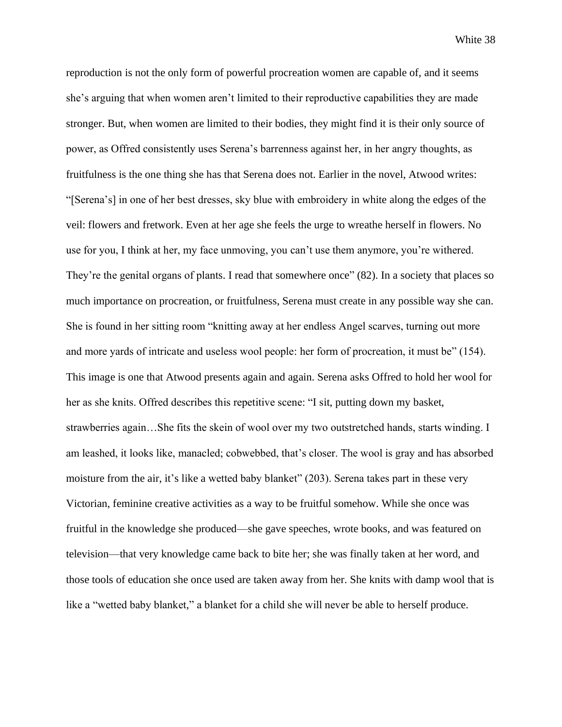reproduction is not the only form of powerful procreation women are capable of, and it seems she's arguing that when women aren't limited to their reproductive capabilities they are made stronger. But, when women are limited to their bodies, they might find it is their only source of power, as Offred consistently uses Serena's barrenness against her, in her angry thoughts, as fruitfulness is the one thing she has that Serena does not. Earlier in the novel, Atwood writes: "[Serena's] in one of her best dresses, sky blue with embroidery in white along the edges of the veil: flowers and fretwork. Even at her age she feels the urge to wreathe herself in flowers. No use for you, I think at her, my face unmoving, you can't use them anymore, you're withered. They're the genital organs of plants. I read that somewhere once" (82). In a society that places so much importance on procreation, or fruitfulness, Serena must create in any possible way she can. She is found in her sitting room "knitting away at her endless Angel scarves, turning out more and more yards of intricate and useless wool people: her form of procreation, it must be" (154). This image is one that Atwood presents again and again. Serena asks Offred to hold her wool for her as she knits. Offred describes this repetitive scene: "I sit, putting down my basket, strawberries again…She fits the skein of wool over my two outstretched hands, starts winding. I am leashed, it looks like, manacled; cobwebbed, that's closer. The wool is gray and has absorbed moisture from the air, it's like a wetted baby blanket" (203). Serena takes part in these very Victorian, feminine creative activities as a way to be fruitful somehow. While she once was fruitful in the knowledge she produced—she gave speeches, wrote books, and was featured on television—that very knowledge came back to bite her; she was finally taken at her word, and those tools of education she once used are taken away from her. She knits with damp wool that is like a "wetted baby blanket," a blanket for a child she will never be able to herself produce.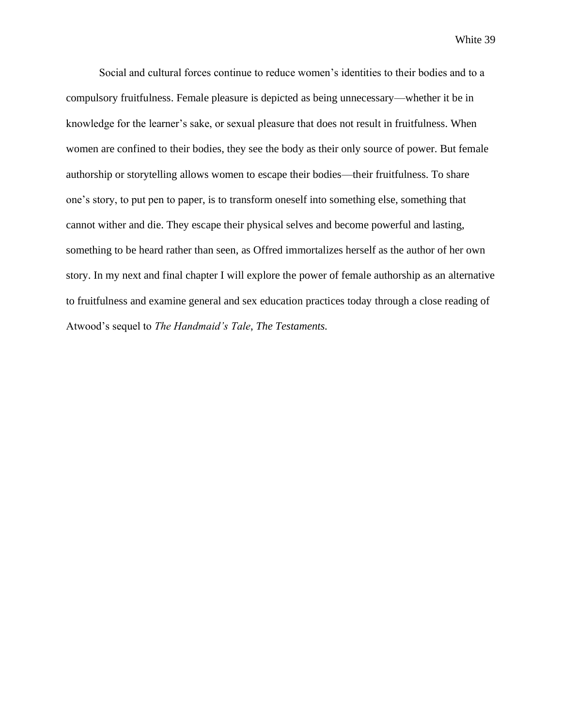Social and cultural forces continue to reduce women's identities to their bodies and to a compulsory fruitfulness. Female pleasure is depicted as being unnecessary—whether it be in knowledge for the learner's sake, or sexual pleasure that does not result in fruitfulness. When women are confined to their bodies, they see the body as their only source of power. But female authorship or storytelling allows women to escape their bodies—their fruitfulness. To share one's story, to put pen to paper, is to transform oneself into something else, something that cannot wither and die. They escape their physical selves and become powerful and lasting, something to be heard rather than seen, as Offred immortalizes herself as the author of her own story. In my next and final chapter I will explore the power of female authorship as an alternative to fruitfulness and examine general and sex education practices today through a close reading of Atwood's sequel to *The Handmaid's Tale*, *The Testaments.*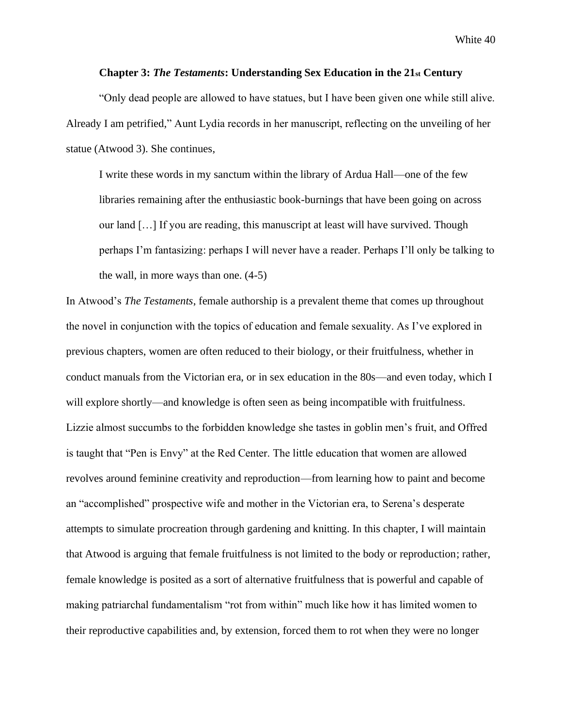#### **Chapter 3:** *The Testaments***: Understanding Sex Education in the 21st Century**

"Only dead people are allowed to have statues, but I have been given one while still alive. Already I am petrified," Aunt Lydia records in her manuscript, reflecting on the unveiling of her statue (Atwood 3). She continues,

I write these words in my sanctum within the library of Ardua Hall—one of the few libraries remaining after the enthusiastic book-burnings that have been going on across our land […] If you are reading, this manuscript at least will have survived. Though perhaps I'm fantasizing: perhaps I will never have a reader. Perhaps I'll only be talking to the wall, in more ways than one. (4-5)

In Atwood's *The Testaments*, female authorship is a prevalent theme that comes up throughout the novel in conjunction with the topics of education and female sexuality. As I've explored in previous chapters, women are often reduced to their biology, or their fruitfulness, whether in conduct manuals from the Victorian era, or in sex education in the 80s—and even today, which I will explore shortly—and knowledge is often seen as being incompatible with fruitfulness. Lizzie almost succumbs to the forbidden knowledge she tastes in goblin men's fruit, and Offred is taught that "Pen is Envy" at the Red Center. The little education that women are allowed revolves around feminine creativity and reproduction—from learning how to paint and become an "accomplished" prospective wife and mother in the Victorian era, to Serena's desperate attempts to simulate procreation through gardening and knitting. In this chapter, I will maintain that Atwood is arguing that female fruitfulness is not limited to the body or reproduction; rather, female knowledge is posited as a sort of alternative fruitfulness that is powerful and capable of making patriarchal fundamentalism "rot from within" much like how it has limited women to their reproductive capabilities and, by extension, forced them to rot when they were no longer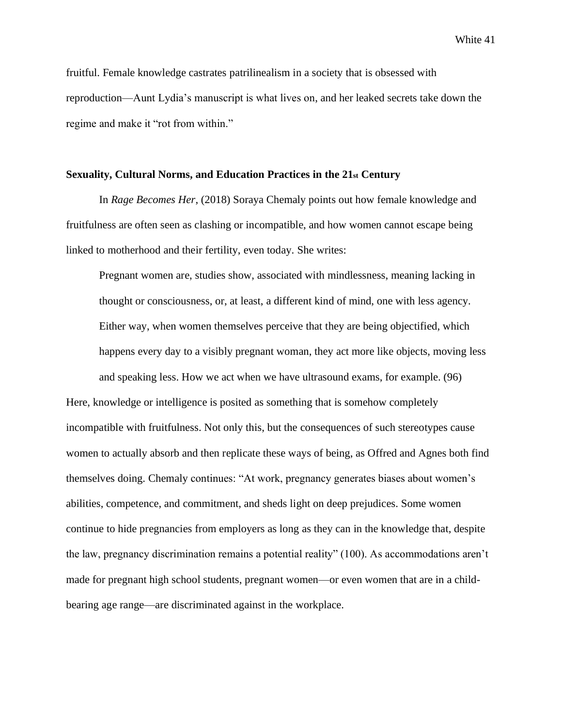fruitful. Female knowledge castrates patrilinealism in a society that is obsessed with reproduction—Aunt Lydia's manuscript is what lives on, and her leaked secrets take down the regime and make it "rot from within."

#### **Sexuality, Cultural Norms, and Education Practices in the 21st Century**

In *Rage Becomes Her*, (2018) Soraya Chemaly points out how female knowledge and fruitfulness are often seen as clashing or incompatible, and how women cannot escape being linked to motherhood and their fertility, even today. She writes:

Pregnant women are, studies show, associated with mindlessness, meaning lacking in thought or consciousness, or, at least, a different kind of mind, one with less agency. Either way, when women themselves perceive that they are being objectified, which happens every day to a visibly pregnant woman, they act more like objects, moving less and speaking less. How we act when we have ultrasound exams, for example. (96)

Here, knowledge or intelligence is posited as something that is somehow completely incompatible with fruitfulness. Not only this, but the consequences of such stereotypes cause women to actually absorb and then replicate these ways of being, as Offred and Agnes both find themselves doing. Chemaly continues: "At work, pregnancy generates biases about women's abilities, competence, and commitment, and sheds light on deep prejudices. Some women continue to hide pregnancies from employers as long as they can in the knowledge that, despite the law, pregnancy discrimination remains a potential reality" (100). As accommodations aren't made for pregnant high school students, pregnant women—or even women that are in a childbearing age range—are discriminated against in the workplace.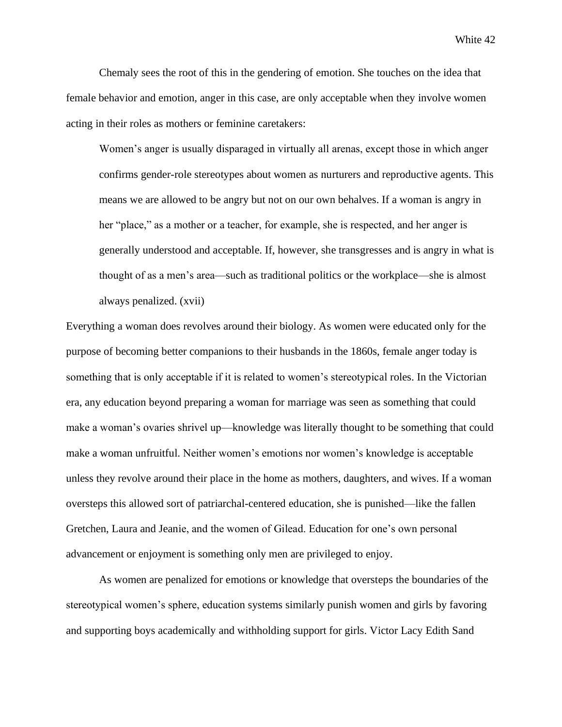Chemaly sees the root of this in the gendering of emotion. She touches on the idea that female behavior and emotion, anger in this case, are only acceptable when they involve women acting in their roles as mothers or feminine caretakers:

Women's anger is usually disparaged in virtually all arenas, except those in which anger confirms gender-role stereotypes about women as nurturers and reproductive agents. This means we are allowed to be angry but not on our own behalves. If a woman is angry in her "place," as a mother or a teacher, for example, she is respected, and her anger is generally understood and acceptable. If, however, she transgresses and is angry in what is thought of as a men's area—such as traditional politics or the workplace—she is almost always penalized. (xvii)

Everything a woman does revolves around their biology. As women were educated only for the purpose of becoming better companions to their husbands in the 1860s, female anger today is something that is only acceptable if it is related to women's stereotypical roles. In the Victorian era, any education beyond preparing a woman for marriage was seen as something that could make a woman's ovaries shrivel up—knowledge was literally thought to be something that could make a woman unfruitful. Neither women's emotions nor women's knowledge is acceptable unless they revolve around their place in the home as mothers, daughters, and wives. If a woman oversteps this allowed sort of patriarchal-centered education, she is punished—like the fallen Gretchen, Laura and Jeanie, and the women of Gilead. Education for one's own personal advancement or enjoyment is something only men are privileged to enjoy.

As women are penalized for emotions or knowledge that oversteps the boundaries of the stereotypical women's sphere, education systems similarly punish women and girls by favoring and supporting boys academically and withholding support for girls. Victor Lacy Edith Sand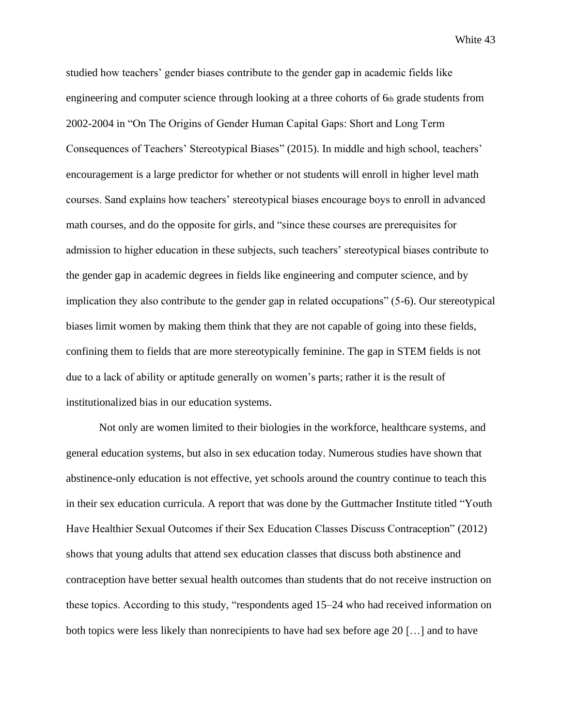studied how teachers' gender biases contribute to the gender gap in academic fields like engineering and computer science through looking at a three cohorts of 6th grade students from 2002-2004 in "On The Origins of Gender Human Capital Gaps: Short and Long Term Consequences of Teachers' Stereotypical Biases" (2015). In middle and high school, teachers' encouragement is a large predictor for whether or not students will enroll in higher level math courses. Sand explains how teachers' stereotypical biases encourage boys to enroll in advanced math courses, and do the opposite for girls, and "since these courses are prerequisites for admission to higher education in these subjects, such teachers' stereotypical biases contribute to the gender gap in academic degrees in fields like engineering and computer science, and by implication they also contribute to the gender gap in related occupations" (5-6). Our stereotypical biases limit women by making them think that they are not capable of going into these fields, confining them to fields that are more stereotypically feminine. The gap in STEM fields is not due to a lack of ability or aptitude generally on women's parts; rather it is the result of institutionalized bias in our education systems.

Not only are women limited to their biologies in the workforce, healthcare systems, and general education systems, but also in sex education today. Numerous studies have shown that abstinence-only education is not effective, yet schools around the country continue to teach this in their sex education curricula. A report that was done by the Guttmacher Institute titled "Youth Have Healthier Sexual Outcomes if their Sex Education Classes Discuss Contraception" (2012) shows that young adults that attend sex education classes that discuss both abstinence and contraception have better sexual health outcomes than students that do not receive instruction on these topics. According to this study, "respondents aged 15–24 who had received information on both topics were less likely than nonrecipients to have had sex before age 20 […] and to have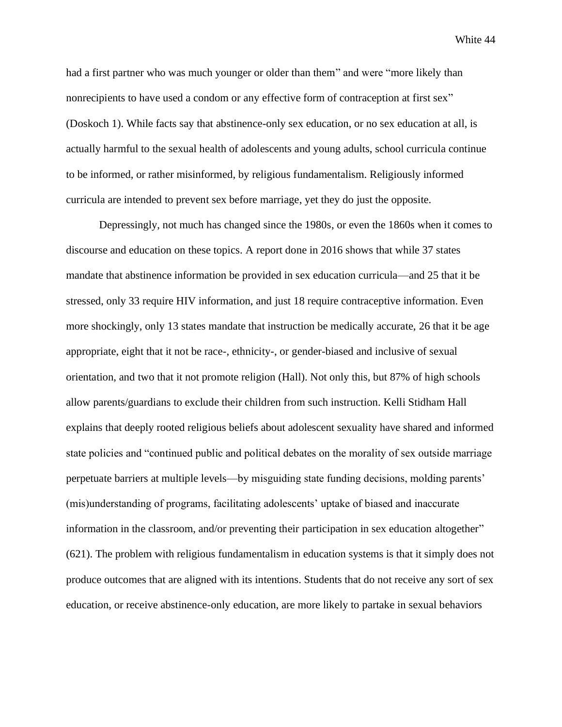had a first partner who was much younger or older than them" and were "more likely than nonrecipients to have used a condom or any effective form of contraception at first sex" (Doskoch 1). While facts say that abstinence-only sex education, or no sex education at all, is actually harmful to the sexual health of adolescents and young adults, school curricula continue to be informed, or rather misinformed, by religious fundamentalism. Religiously informed curricula are intended to prevent sex before marriage, yet they do just the opposite.

Depressingly, not much has changed since the 1980s, or even the 1860s when it comes to discourse and education on these topics. A report done in 2016 shows that while 37 states mandate that abstinence information be provided in sex education curricula—and 25 that it be stressed, only 33 require HIV information, and just 18 require contraceptive information. Even more shockingly, only 13 states mandate that instruction be medically accurate, 26 that it be age appropriate, eight that it not be race-, ethnicity-, or gender-biased and inclusive of sexual orientation, and two that it not promote religion (Hall). Not only this, but 87% of high schools allow parents/guardians to exclude their children from such instruction. Kelli Stidham Hall explains that deeply rooted religious beliefs about adolescent sexuality have shared and informed state policies and "continued public and political debates on the morality of sex outside marriage perpetuate barriers at multiple levels—by misguiding state funding decisions, molding parents' (mis)understanding of programs, facilitating adolescents' uptake of biased and inaccurate information in the classroom, and/or preventing their participation in sex education altogether" (621). The problem with religious fundamentalism in education systems is that it simply does not produce outcomes that are aligned with its intentions. Students that do not receive any sort of sex education, or receive abstinence-only education, are more likely to partake in sexual behaviors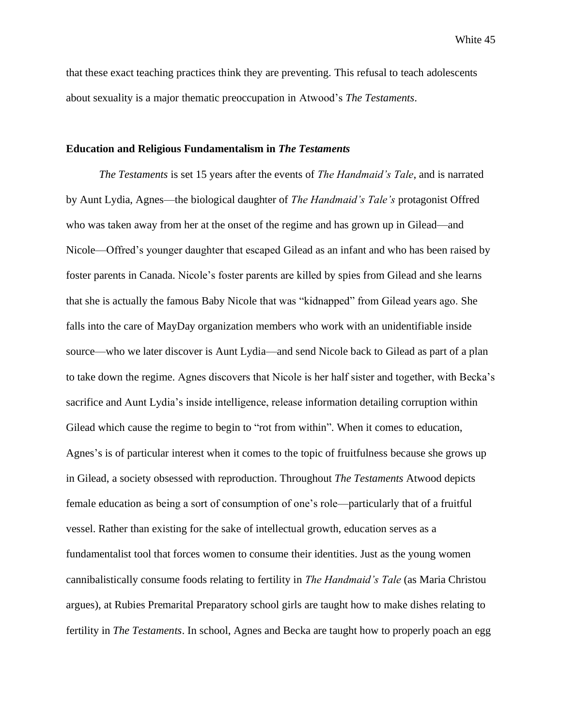that these exact teaching practices think they are preventing. This refusal to teach adolescents about sexuality is a major thematic preoccupation in Atwood's *The Testaments*.

#### **Education and Religious Fundamentalism in** *The Testaments*

*The Testaments* is set 15 years after the events of *The Handmaid's Tale*, and is narrated by Aunt Lydia, Agnes—the biological daughter of *The Handmaid's Tale's* protagonist Offred who was taken away from her at the onset of the regime and has grown up in Gilead—and Nicole—Offred's younger daughter that escaped Gilead as an infant and who has been raised by foster parents in Canada. Nicole's foster parents are killed by spies from Gilead and she learns that she is actually the famous Baby Nicole that was "kidnapped" from Gilead years ago. She falls into the care of MayDay organization members who work with an unidentifiable inside source—who we later discover is Aunt Lydia—and send Nicole back to Gilead as part of a plan to take down the regime. Agnes discovers that Nicole is her half sister and together, with Becka's sacrifice and Aunt Lydia's inside intelligence, release information detailing corruption within Gilead which cause the regime to begin to "rot from within". When it comes to education, Agnes's is of particular interest when it comes to the topic of fruitfulness because she grows up in Gilead, a society obsessed with reproduction. Throughout *The Testaments* Atwood depicts female education as being a sort of consumption of one's role—particularly that of a fruitful vessel. Rather than existing for the sake of intellectual growth, education serves as a fundamentalist tool that forces women to consume their identities. Just as the young women cannibalistically consume foods relating to fertility in *The Handmaid's Tale* (as Maria Christou argues), at Rubies Premarital Preparatory school girls are taught how to make dishes relating to fertility in *The Testaments*. In school, Agnes and Becka are taught how to properly poach an egg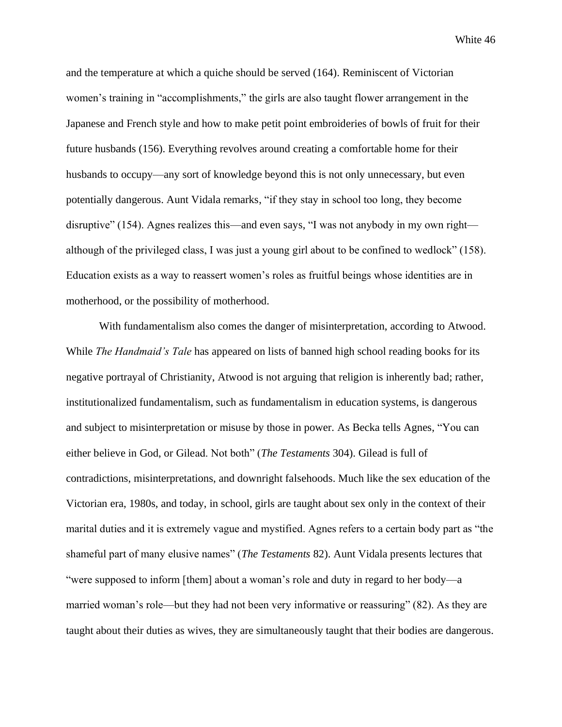and the temperature at which a quiche should be served (164). Reminiscent of Victorian women's training in "accomplishments," the girls are also taught flower arrangement in the Japanese and French style and how to make petit point embroideries of bowls of fruit for their future husbands (156). Everything revolves around creating a comfortable home for their husbands to occupy—any sort of knowledge beyond this is not only unnecessary, but even potentially dangerous. Aunt Vidala remarks, "if they stay in school too long, they become disruptive" (154). Agnes realizes this—and even says, "I was not anybody in my own right although of the privileged class, I was just a young girl about to be confined to wedlock" (158). Education exists as a way to reassert women's roles as fruitful beings whose identities are in motherhood, or the possibility of motherhood.

With fundamentalism also comes the danger of misinterpretation, according to Atwood. While *The Handmaid's Tale* has appeared on lists of banned high school reading books for its negative portrayal of Christianity, Atwood is not arguing that religion is inherently bad; rather, institutionalized fundamentalism, such as fundamentalism in education systems, is dangerous and subject to misinterpretation or misuse by those in power. As Becka tells Agnes, "You can either believe in God, or Gilead. Not both" (*The Testaments* 304). Gilead is full of contradictions, misinterpretations, and downright falsehoods. Much like the sex education of the Victorian era, 1980s, and today, in school, girls are taught about sex only in the context of their marital duties and it is extremely vague and mystified. Agnes refers to a certain body part as "the shameful part of many elusive names" (*The Testaments* 82). Aunt Vidala presents lectures that "were supposed to inform [them] about a woman's role and duty in regard to her body—a married woman's role—but they had not been very informative or reassuring" (82). As they are taught about their duties as wives, they are simultaneously taught that their bodies are dangerous.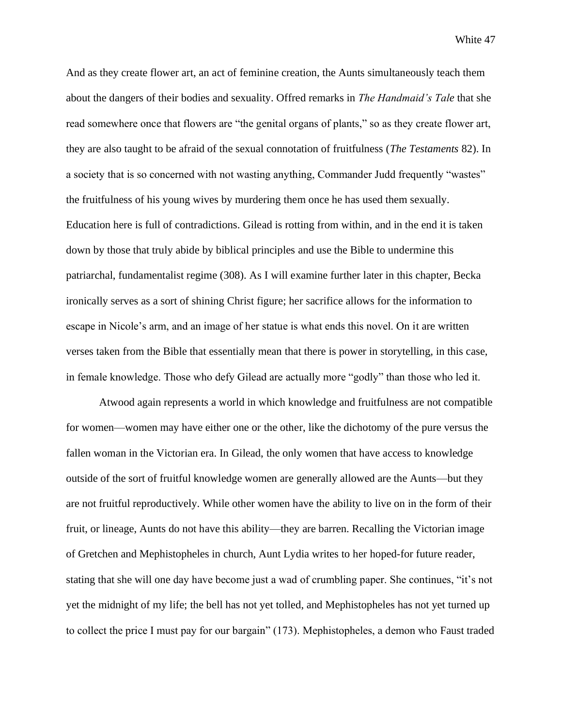And as they create flower art, an act of feminine creation, the Aunts simultaneously teach them about the dangers of their bodies and sexuality. Offred remarks in *The Handmaid's Tale* that she read somewhere once that flowers are "the genital organs of plants," so as they create flower art, they are also taught to be afraid of the sexual connotation of fruitfulness (*The Testaments* 82). In a society that is so concerned with not wasting anything, Commander Judd frequently "wastes" the fruitfulness of his young wives by murdering them once he has used them sexually. Education here is full of contradictions. Gilead is rotting from within, and in the end it is taken down by those that truly abide by biblical principles and use the Bible to undermine this patriarchal, fundamentalist regime (308). As I will examine further later in this chapter, Becka ironically serves as a sort of shining Christ figure; her sacrifice allows for the information to escape in Nicole's arm, and an image of her statue is what ends this novel. On it are written verses taken from the Bible that essentially mean that there is power in storytelling, in this case, in female knowledge. Those who defy Gilead are actually more "godly" than those who led it.

Atwood again represents a world in which knowledge and fruitfulness are not compatible for women—women may have either one or the other, like the dichotomy of the pure versus the fallen woman in the Victorian era. In Gilead, the only women that have access to knowledge outside of the sort of fruitful knowledge women are generally allowed are the Aunts—but they are not fruitful reproductively. While other women have the ability to live on in the form of their fruit, or lineage, Aunts do not have this ability—they are barren. Recalling the Victorian image of Gretchen and Mephistopheles in church, Aunt Lydia writes to her hoped-for future reader, stating that she will one day have become just a wad of crumbling paper. She continues, "it's not yet the midnight of my life; the bell has not yet tolled, and Mephistopheles has not yet turned up to collect the price I must pay for our bargain" (173). Mephistopheles, a demon who Faust traded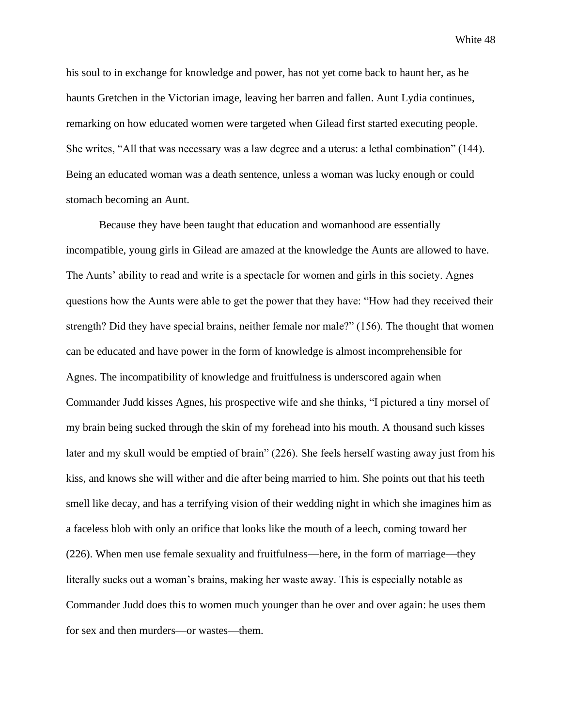his soul to in exchange for knowledge and power, has not yet come back to haunt her, as he haunts Gretchen in the Victorian image, leaving her barren and fallen. Aunt Lydia continues, remarking on how educated women were targeted when Gilead first started executing people. She writes, "All that was necessary was a law degree and a uterus: a lethal combination" (144). Being an educated woman was a death sentence, unless a woman was lucky enough or could stomach becoming an Aunt.

Because they have been taught that education and womanhood are essentially incompatible, young girls in Gilead are amazed at the knowledge the Aunts are allowed to have. The Aunts' ability to read and write is a spectacle for women and girls in this society. Agnes questions how the Aunts were able to get the power that they have: "How had they received their strength? Did they have special brains, neither female nor male?" (156). The thought that women can be educated and have power in the form of knowledge is almost incomprehensible for Agnes. The incompatibility of knowledge and fruitfulness is underscored again when Commander Judd kisses Agnes, his prospective wife and she thinks, "I pictured a tiny morsel of my brain being sucked through the skin of my forehead into his mouth. A thousand such kisses later and my skull would be emptied of brain" (226). She feels herself wasting away just from his kiss, and knows she will wither and die after being married to him. She points out that his teeth smell like decay, and has a terrifying vision of their wedding night in which she imagines him as a faceless blob with only an orifice that looks like the mouth of a leech, coming toward her (226). When men use female sexuality and fruitfulness—here, in the form of marriage—they literally sucks out a woman's brains, making her waste away. This is especially notable as Commander Judd does this to women much younger than he over and over again: he uses them for sex and then murders—or wastes—them.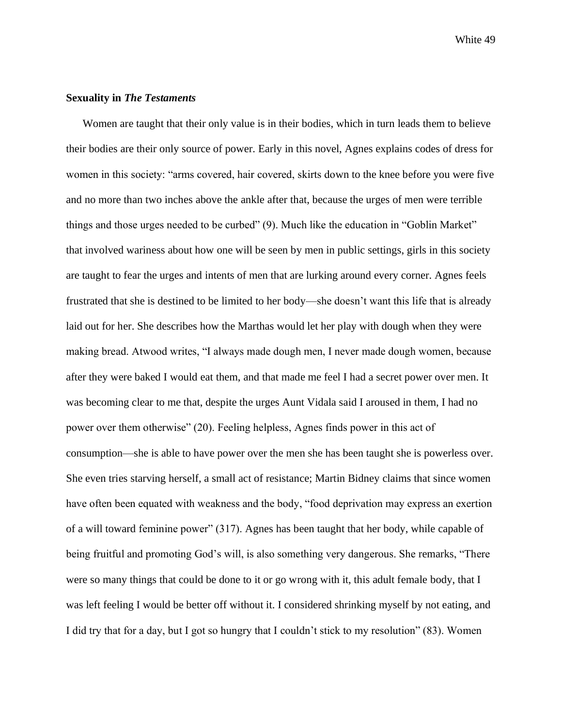#### **Sexuality in** *The Testaments*

Women are taught that their only value is in their bodies, which in turn leads them to believe their bodies are their only source of power. Early in this novel, Agnes explains codes of dress for women in this society: "arms covered, hair covered, skirts down to the knee before you were five and no more than two inches above the ankle after that, because the urges of men were terrible things and those urges needed to be curbed" (9). Much like the education in "Goblin Market" that involved wariness about how one will be seen by men in public settings, girls in this society are taught to fear the urges and intents of men that are lurking around every corner. Agnes feels frustrated that she is destined to be limited to her body—she doesn't want this life that is already laid out for her. She describes how the Marthas would let her play with dough when they were making bread. Atwood writes, "I always made dough men, I never made dough women, because after they were baked I would eat them, and that made me feel I had a secret power over men. It was becoming clear to me that, despite the urges Aunt Vidala said I aroused in them, I had no power over them otherwise" (20). Feeling helpless, Agnes finds power in this act of consumption—she is able to have power over the men she has been taught she is powerless over. She even tries starving herself, a small act of resistance; Martin Bidney claims that since women have often been equated with weakness and the body, "food deprivation may express an exertion of a will toward feminine power" (317). Agnes has been taught that her body, while capable of being fruitful and promoting God's will, is also something very dangerous. She remarks, "There were so many things that could be done to it or go wrong with it, this adult female body, that I was left feeling I would be better off without it. I considered shrinking myself by not eating, and I did try that for a day, but I got so hungry that I couldn't stick to my resolution" (83). Women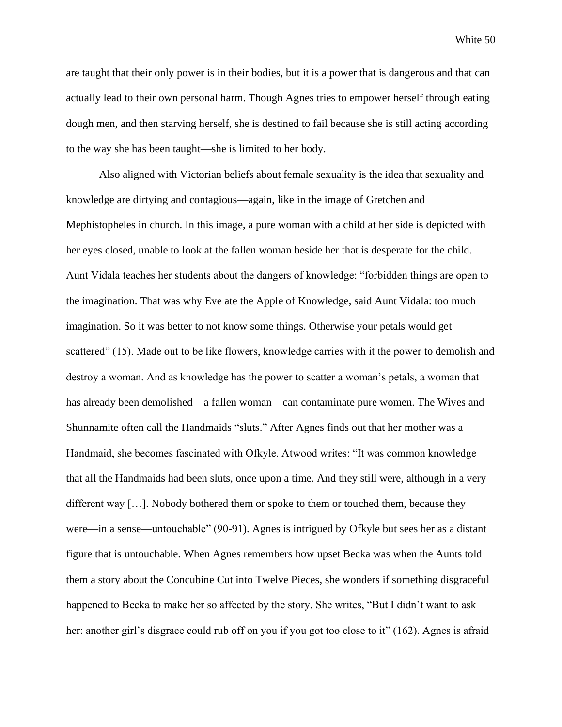are taught that their only power is in their bodies, but it is a power that is dangerous and that can actually lead to their own personal harm. Though Agnes tries to empower herself through eating dough men, and then starving herself, she is destined to fail because she is still acting according to the way she has been taught—she is limited to her body.

Also aligned with Victorian beliefs about female sexuality is the idea that sexuality and knowledge are dirtying and contagious—again, like in the image of Gretchen and Mephistopheles in church. In this image, a pure woman with a child at her side is depicted with her eyes closed, unable to look at the fallen woman beside her that is desperate for the child. Aunt Vidala teaches her students about the dangers of knowledge: "forbidden things are open to the imagination. That was why Eve ate the Apple of Knowledge, said Aunt Vidala: too much imagination. So it was better to not know some things. Otherwise your petals would get scattered" (15). Made out to be like flowers, knowledge carries with it the power to demolish and destroy a woman. And as knowledge has the power to scatter a woman's petals, a woman that has already been demolished—a fallen woman—can contaminate pure women. The Wives and Shunnamite often call the Handmaids "sluts." After Agnes finds out that her mother was a Handmaid, she becomes fascinated with Ofkyle. Atwood writes: "It was common knowledge that all the Handmaids had been sluts, once upon a time. And they still were, although in a very different way [...]. Nobody bothered them or spoke to them or touched them, because they were—in a sense—untouchable" (90-91). Agnes is intrigued by Ofkyle but sees her as a distant figure that is untouchable. When Agnes remembers how upset Becka was when the Aunts told them a story about the Concubine Cut into Twelve Pieces, she wonders if something disgraceful happened to Becka to make her so affected by the story. She writes, "But I didn't want to ask her: another girl's disgrace could rub off on you if you got too close to it" (162). Agnes is afraid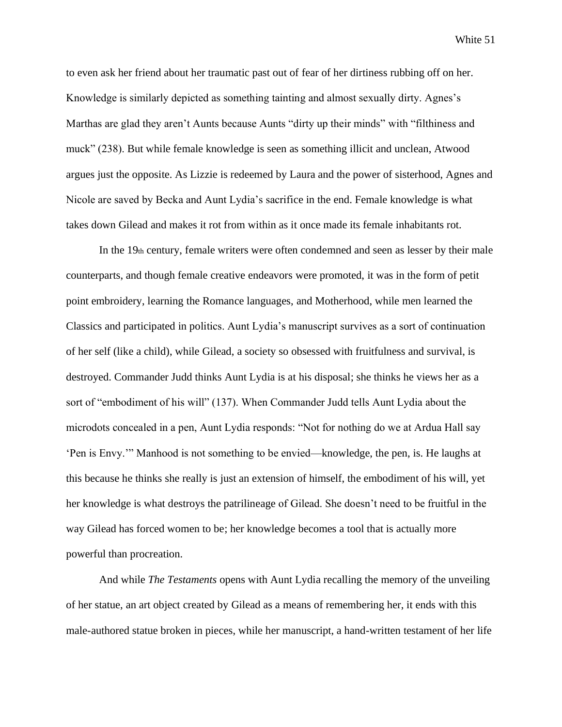to even ask her friend about her traumatic past out of fear of her dirtiness rubbing off on her. Knowledge is similarly depicted as something tainting and almost sexually dirty. Agnes's Marthas are glad they aren't Aunts because Aunts "dirty up their minds" with "filthiness and muck" (238). But while female knowledge is seen as something illicit and unclean, Atwood argues just the opposite. As Lizzie is redeemed by Laura and the power of sisterhood, Agnes and Nicole are saved by Becka and Aunt Lydia's sacrifice in the end. Female knowledge is what takes down Gilead and makes it rot from within as it once made its female inhabitants rot.

In the  $19<sub>th</sub>$  century, female writers were often condemned and seen as lesser by their male counterparts, and though female creative endeavors were promoted, it was in the form of petit point embroidery, learning the Romance languages, and Motherhood, while men learned the Classics and participated in politics. Aunt Lydia's manuscript survives as a sort of continuation of her self (like a child), while Gilead, a society so obsessed with fruitfulness and survival, is destroyed. Commander Judd thinks Aunt Lydia is at his disposal; she thinks he views her as a sort of "embodiment of his will" (137). When Commander Judd tells Aunt Lydia about the microdots concealed in a pen, Aunt Lydia responds: "Not for nothing do we at Ardua Hall say 'Pen is Envy.'" Manhood is not something to be envied—knowledge, the pen, is. He laughs at this because he thinks she really is just an extension of himself, the embodiment of his will, yet her knowledge is what destroys the patrilineage of Gilead. She doesn't need to be fruitful in the way Gilead has forced women to be; her knowledge becomes a tool that is actually more powerful than procreation.

And while *The Testaments* opens with Aunt Lydia recalling the memory of the unveiling of her statue, an art object created by Gilead as a means of remembering her, it ends with this male-authored statue broken in pieces, while her manuscript, a hand-written testament of her life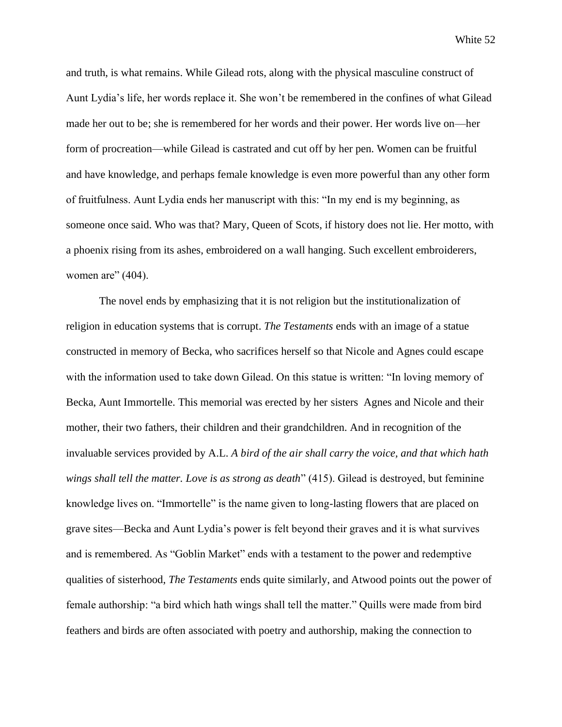and truth, is what remains. While Gilead rots, along with the physical masculine construct of Aunt Lydia's life, her words replace it. She won't be remembered in the confines of what Gilead made her out to be; she is remembered for her words and their power. Her words live on—her form of procreation—while Gilead is castrated and cut off by her pen. Women can be fruitful and have knowledge, and perhaps female knowledge is even more powerful than any other form of fruitfulness. Aunt Lydia ends her manuscript with this: "In my end is my beginning, as someone once said. Who was that? Mary, Queen of Scots, if history does not lie. Her motto, with a phoenix rising from its ashes, embroidered on a wall hanging. Such excellent embroiderers, women are"  $(404)$ .

The novel ends by emphasizing that it is not religion but the institutionalization of religion in education systems that is corrupt. *The Testaments* ends with an image of a statue constructed in memory of Becka, who sacrifices herself so that Nicole and Agnes could escape with the information used to take down Gilead. On this statue is written: "In loving memory of Becka, Aunt Immortelle. This memorial was erected by her sisters Agnes and Nicole and their mother, their two fathers, their children and their grandchildren. And in recognition of the invaluable services provided by A.L. *A bird of the air shall carry the voice, and that which hath wings shall tell the matter. Love is as strong as death*" (415). Gilead is destroyed, but feminine knowledge lives on. "Immortelle" is the name given to long-lasting flowers that are placed on grave sites—Becka and Aunt Lydia's power is felt beyond their graves and it is what survives and is remembered. As "Goblin Market" ends with a testament to the power and redemptive qualities of sisterhood, *The Testaments* ends quite similarly, and Atwood points out the power of female authorship: "a bird which hath wings shall tell the matter." Quills were made from bird feathers and birds are often associated with poetry and authorship, making the connection to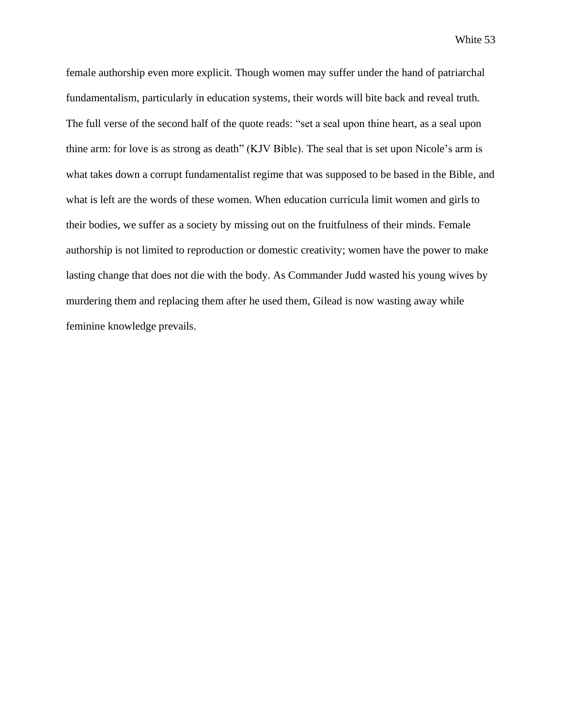female authorship even more explicit. Though women may suffer under the hand of patriarchal fundamentalism, particularly in education systems, their words will bite back and reveal truth. The full verse of the second half of the quote reads: "set a seal upon thine heart, as a seal upon thine arm: for love is as strong as death" (KJV Bible). The seal that is set upon Nicole's arm is what takes down a corrupt fundamentalist regime that was supposed to be based in the Bible, and what is left are the words of these women. When education curricula limit women and girls to their bodies, we suffer as a society by missing out on the fruitfulness of their minds. Female authorship is not limited to reproduction or domestic creativity; women have the power to make lasting change that does not die with the body. As Commander Judd wasted his young wives by murdering them and replacing them after he used them, Gilead is now wasting away while feminine knowledge prevails.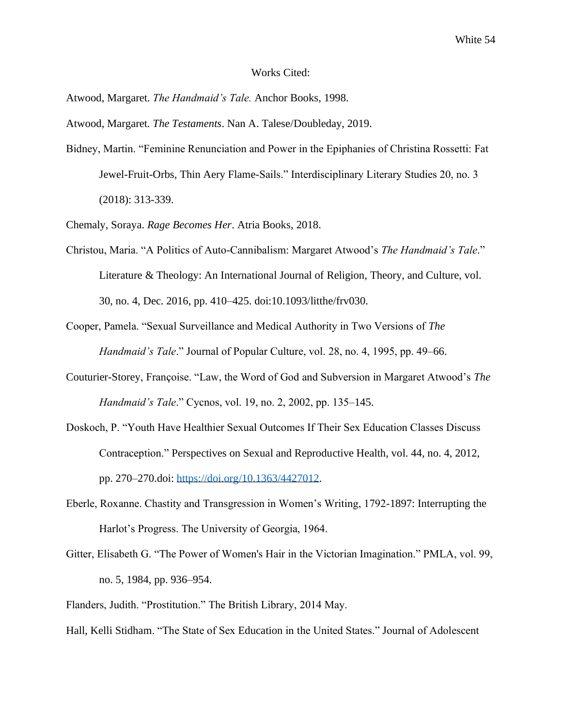#### Works Cited:

Atwood, Margaret. *The Handmaid's Tale.* Anchor Books, 1998.

Atwood, Margaret. *The Testaments*. Nan A. Talese/Doubleday, 2019.

Bidney, Martin. "Feminine Renunciation and Power in the Epiphanies of Christina Rossetti: Fat Jewel-Fruit-Orbs, Thin Aery Flame-Sails." Interdisciplinary Literary Studies 20, no. 3 (2018): 313-339.

Chemaly, Soraya. *Rage Becomes Her*. Atria Books, 2018.

- Christou, Maria. "A Politics of Auto-Cannibalism: Margaret Atwood's *The Handmaid's Tale*." Literature & Theology: An International Journal of Religion, Theory, and Culture, vol. 30, no. 4, Dec. 2016, pp. 410–425. doi:10.1093/litthe/frv030.
- Cooper, Pamela. "Sexual Surveillance and Medical Authority in Two Versions of *The Handmaid's Tale*." Journal of Popular Culture, vol. 28, no. 4, 1995, pp. 49–66.
- Couturier-Storey, Françoise. "Law, the Word of God and Subversion in Margaret Atwood's *The Handmaid's Tale*." Cycnos, vol. 19, no. 2, 2002, pp. 135–145.
- Doskoch, P. "Youth Have Healthier Sexual Outcomes If Their Sex Education Classes Discuss Contraception." Perspectives on Sexual and Reproductive Health, vol. 44, no. 4, 2012, pp. 270–270.doi: [https://doi.org/10.1363/4427012.](https://doi.org/10.1363/4427012)
- Eberle, Roxanne. Chastity and Transgression in Women's Writing, 1792-1897: Interrupting the Harlot's Progress. The University of Georgia, 1964.
- Gitter, Elisabeth G. "The Power of Women's Hair in the Victorian Imagination." PMLA, vol. 99, no. 5, 1984, pp. 936–954.

Flanders, Judith. "Prostitution." The British Library, 2014 May.

Hall, Kelli Stidham. "The State of Sex Education in the United States." Journal of Adolescent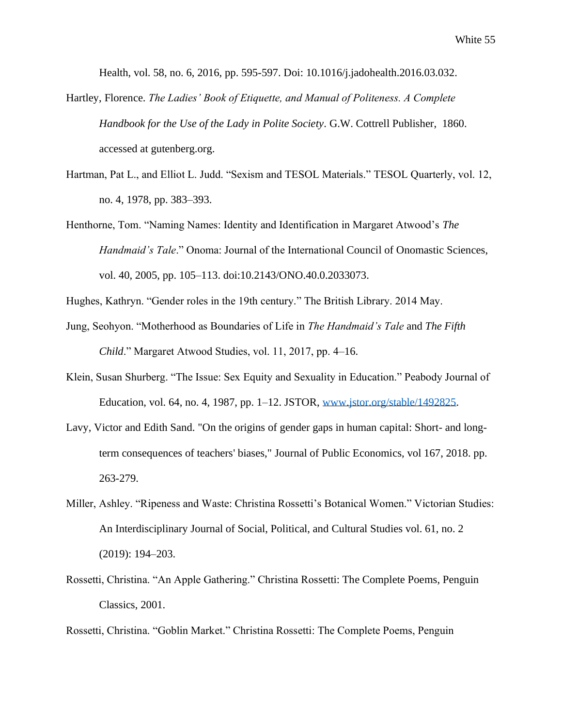Health, vol. 58, no. 6, 2016, pp. 595-597. Doi: 10.1016/j.jadohealth.2016.03.032.

- Hartley, Florence. *The Ladies' Book of Etiquette, and Manual of Politeness. A Complete Handbook for the Use of the Lady in Polite Society*. G.W. Cottrell Publisher, 1860. accessed at gutenberg.org.
- Hartman, Pat L., and Elliot L. Judd. "Sexism and TESOL Materials." TESOL Quarterly, vol. 12, no. 4, 1978, pp. 383–393.
- Henthorne, Tom. "Naming Names: Identity and Identification in Margaret Atwood's *The Handmaid's Tale*." Onoma: Journal of the International Council of Onomastic Sciences, vol. 40, 2005, pp. 105–113. doi:10.2143/ONO.40.0.2033073.

Hughes, Kathryn. "Gender roles in the 19th century." The British Library. 2014 May.

- Jung, Seohyon. "Motherhood as Boundaries of Life in *The Handmaid's Tale* and *The Fifth Child*." Margaret Atwood Studies, vol. 11, 2017, pp. 4–16.
- Klein, Susan Shurberg. "The Issue: Sex Equity and Sexuality in Education." Peabody Journal of Education, vol. 64, no. 4, 1987, pp. 1–12. JSTOR, [www.jstor.org/stable/1492825.](http://www.jstor.org/stable/1492825)
- Lavy, Victor and Edith Sand. "On the origins of gender gaps in human capital: Short- and longterm consequences of teachers' biases," Journal of Public Economics, vol 167, 2018. pp. 263-279.
- Miller, Ashley. "Ripeness and Waste: Christina Rossetti's Botanical Women." Victorian Studies: An Interdisciplinary Journal of Social, Political, and Cultural Studies vol. 61, no. 2 (2019): 194–203.
- Rossetti, Christina. "An Apple Gathering." Christina Rossetti: The Complete Poems, Penguin Classics, 2001.

Rossetti, Christina. "Goblin Market." Christina Rossetti: The Complete Poems, Penguin